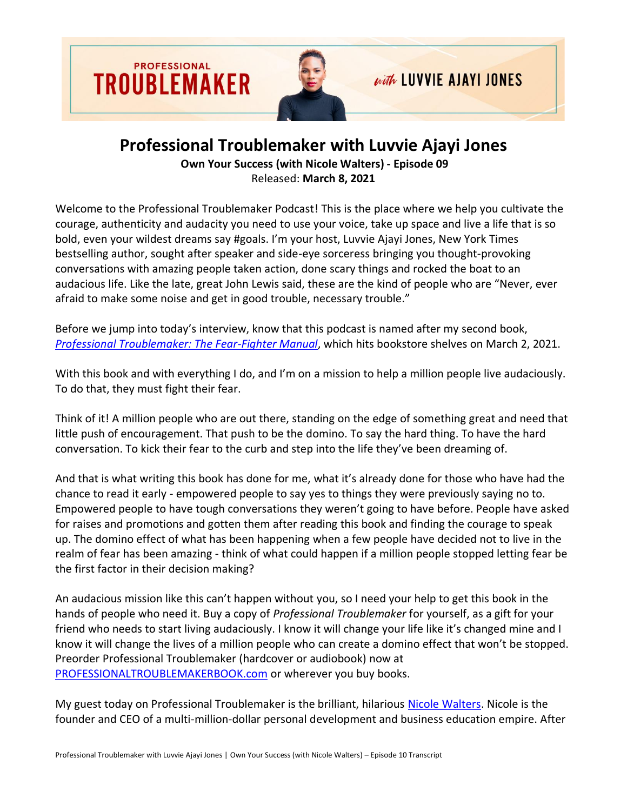

## **Professional Troublemaker with Luvvie Ajayi Jones**

**Own Your Success (with Nicole Walters) - Episode 09** Released: **March 8, 2021**

Welcome to the Professional Troublemaker Podcast! This is the place where we help you cultivate the courage, authenticity and audacity you need to use your voice, take up space and live a life that is so bold, even your wildest dreams say #goals. I'm your host, Luvvie Ajayi Jones, New York Times bestselling author, sought after speaker and side-eye sorceress bringing you thought-provoking conversations with amazing people taken action, done scary things and rocked the boat to an audacious life. Like the late, great John Lewis said, these are the kind of people who are "Never, ever afraid to make some noise and get in good trouble, necessary trouble."

Before we jump into today's interview, know that this podcast is named after my second book, *[Professional Troublemaker: The Fear-Fighter Manual](https://professionaltroublemakerbook.com/)*, which hits bookstore shelves on March 2, 2021.

With this book and with everything I do, and I'm on a mission to help a million people live audaciously. To do that, they must fight their fear.

Think of it! A million people who are out there, standing on the edge of something great and need that little push of encouragement. That push to be the domino. To say the hard thing. To have the hard conversation. To kick their fear to the curb and step into the life they've been dreaming of.

And that is what writing this book has done for me, what it's already done for those who have had the chance to read it early - empowered people to say yes to things they were previously saying no to. Empowered people to have tough conversations they weren't going to have before. People have asked for raises and promotions and gotten them after reading this book and finding the courage to speak up. The domino effect of what has been happening when a few people have decided not to live in the realm of fear has been amazing - think of what could happen if a million people stopped letting fear be the first factor in their decision making?

An audacious mission like this can't happen without you, so I need your help to get this book in the hands of people who need it. Buy a copy of *Professional Troublemaker* for yourself, as a gift for your friend who needs to start living audaciously. I know it will change your life like it's changed mine and I know it will change the lives of a million people who can create a domino effect that won't be stopped. Preorder Professional Troublemaker (hardcover or audiobook) now at [PROFESSIONALTROUBLEMAKERBOOK.com](https://professionaltroublemakerbook.com/) or wherever you buy books.

My guest today on Professional Troublemaker is the brilliant, hilarious [Nicole Walters.](https://nicolewalters.com/) Nicole is the founder and CEO of a multi-million-dollar personal development and business education empire. After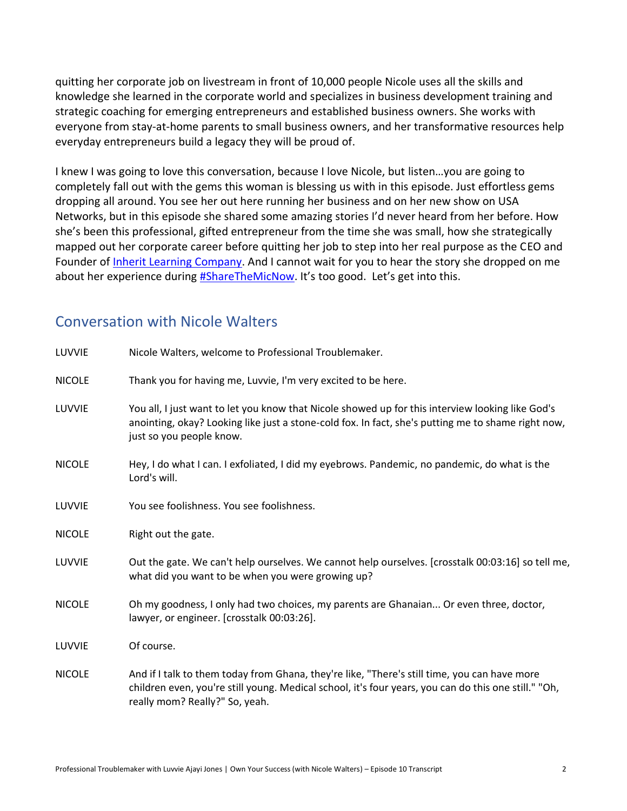quitting her corporate job on livestream in front of 10,000 people Nicole uses all the skills and knowledge she learned in the corporate world and specializes in business development training and strategic coaching for emerging entrepreneurs and established business owners. She works with everyone from stay-at-home parents to small business owners, and her transformative resources help everyday entrepreneurs build a legacy they will be proud of.

I knew I was going to love this conversation, because I love Nicole, but listen…you are going to completely fall out with the gems this woman is blessing us with in this episode. Just effortless gems dropping all around. You see her out here running her business and on her new show on USA Networks, but in this episode she shared some amazing stories I'd never heard from her before. How she's been this professional, gifted entrepreneur from the time she was small, how she strategically mapped out her corporate career before quitting her job to step into her real purpose as the CEO and Founder of [Inherit Learning Company.](https://inheritlearningcompany.com/) And I cannot wait for you to hear the story she dropped on me about her experience during [#ShareTheMicNow](https://www.instagram.com/sharethemicnow/). It's too good. Let's get into this.

## Conversation with Nicole Walters

| LUVVIE        | Nicole Walters, welcome to Professional Troublemaker.                                                                                                                                                                                  |
|---------------|----------------------------------------------------------------------------------------------------------------------------------------------------------------------------------------------------------------------------------------|
| <b>NICOLE</b> | Thank you for having me, Luvvie, I'm very excited to be here.                                                                                                                                                                          |
| LUVVIE        | You all, I just want to let you know that Nicole showed up for this interview looking like God's<br>anointing, okay? Looking like just a stone-cold fox. In fact, she's putting me to shame right now,<br>just so you people know.     |
| <b>NICOLE</b> | Hey, I do what I can. I exfoliated, I did my eyebrows. Pandemic, no pandemic, do what is the<br>Lord's will.                                                                                                                           |
| LUVVIE        | You see foolishness. You see foolishness.                                                                                                                                                                                              |
| <b>NICOLE</b> | Right out the gate.                                                                                                                                                                                                                    |
| LUVVIE        | Out the gate. We can't help ourselves. We cannot help ourselves. [crosstalk 00:03:16] so tell me,<br>what did you want to be when you were growing up?                                                                                 |
| <b>NICOLE</b> | Oh my goodness, I only had two choices, my parents are Ghanaian Or even three, doctor,<br>lawyer, or engineer. [crosstalk 00:03:26].                                                                                                   |
| LUVVIE        | Of course.                                                                                                                                                                                                                             |
| <b>NICOLE</b> | And if I talk to them today from Ghana, they're like, "There's still time, you can have more<br>children even, you're still young. Medical school, it's four years, you can do this one still." "Oh,<br>really mom? Really?" So, yeah. |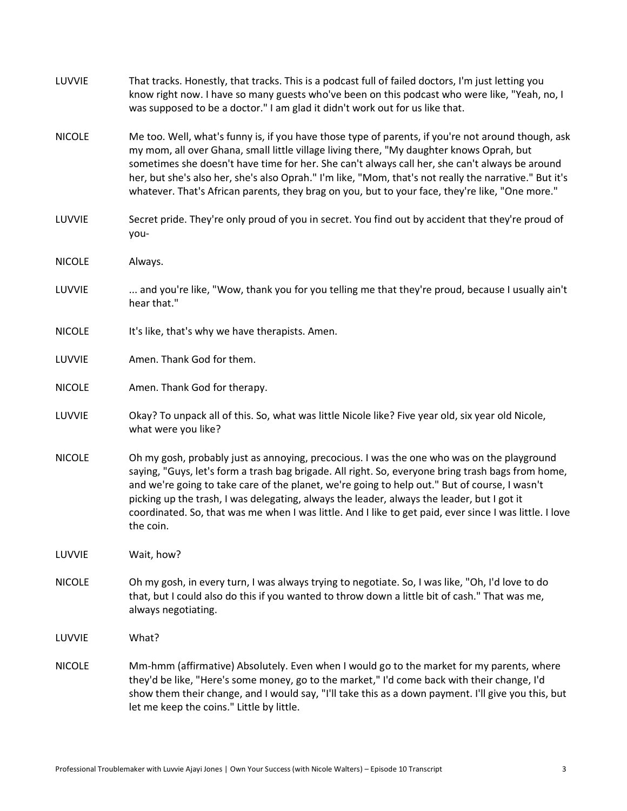| LUVVIE        | That tracks. Honestly, that tracks. This is a podcast full of failed doctors, I'm just letting you<br>know right now. I have so many guests who've been on this podcast who were like, "Yeah, no, I<br>was supposed to be a doctor." I am glad it didn't work out for us like that.                                                                                                                                                                                                                                     |
|---------------|-------------------------------------------------------------------------------------------------------------------------------------------------------------------------------------------------------------------------------------------------------------------------------------------------------------------------------------------------------------------------------------------------------------------------------------------------------------------------------------------------------------------------|
| <b>NICOLE</b> | Me too. Well, what's funny is, if you have those type of parents, if you're not around though, ask<br>my mom, all over Ghana, small little village living there, "My daughter knows Oprah, but<br>sometimes she doesn't have time for her. She can't always call her, she can't always be around<br>her, but she's also her, she's also Oprah." I'm like, "Mom, that's not really the narrative." But it's<br>whatever. That's African parents, they brag on you, but to your face, they're like, "One more."           |
| LUVVIE        | Secret pride. They're only proud of you in secret. You find out by accident that they're proud of<br>you-                                                                                                                                                                                                                                                                                                                                                                                                               |
| <b>NICOLE</b> | Always.                                                                                                                                                                                                                                                                                                                                                                                                                                                                                                                 |
| LUVVIE        | and you're like, "Wow, thank you for you telling me that they're proud, because I usually ain't<br>hear that."                                                                                                                                                                                                                                                                                                                                                                                                          |
| <b>NICOLE</b> | It's like, that's why we have therapists. Amen.                                                                                                                                                                                                                                                                                                                                                                                                                                                                         |
| LUVVIE        | Amen. Thank God for them.                                                                                                                                                                                                                                                                                                                                                                                                                                                                                               |
| <b>NICOLE</b> | Amen. Thank God for therapy.                                                                                                                                                                                                                                                                                                                                                                                                                                                                                            |
| LUVVIE        | Okay? To unpack all of this. So, what was little Nicole like? Five year old, six year old Nicole,<br>what were you like?                                                                                                                                                                                                                                                                                                                                                                                                |
| <b>NICOLE</b> | Oh my gosh, probably just as annoying, precocious. I was the one who was on the playground<br>saying, "Guys, let's form a trash bag brigade. All right. So, everyone bring trash bags from home,<br>and we're going to take care of the planet, we're going to help out." But of course, I wasn't<br>picking up the trash, I was delegating, always the leader, always the leader, but I got it<br>coordinated. So, that was me when I was little. And I like to get paid, ever since I was little. I love<br>the coin. |
| LUVVIE        | Wait, how?                                                                                                                                                                                                                                                                                                                                                                                                                                                                                                              |
| <b>NICOLE</b> | Oh my gosh, in every turn, I was always trying to negotiate. So, I was like, "Oh, I'd love to do<br>that, but I could also do this if you wanted to throw down a little bit of cash." That was me,<br>always negotiating.                                                                                                                                                                                                                                                                                               |
| LUVVIE        | What?                                                                                                                                                                                                                                                                                                                                                                                                                                                                                                                   |
| <b>NICOLE</b> | Mm-hmm (affirmative) Absolutely. Even when I would go to the market for my parents, where<br>they'd be like, "Here's some money, go to the market," I'd come back with their change, I'd<br>show them their change, and I would say, "I'll take this as a down payment. I'll give you this, but<br>let me keep the coins." Little by little.                                                                                                                                                                            |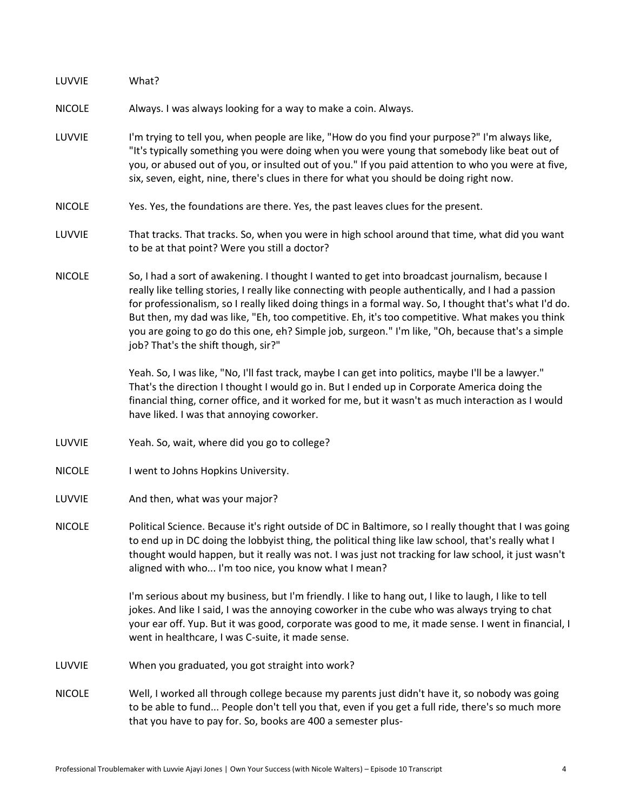| LUVVIE        | What?                                                                                                                                                                                                                                                                                                                                                                                                                                                                                                                                                          |
|---------------|----------------------------------------------------------------------------------------------------------------------------------------------------------------------------------------------------------------------------------------------------------------------------------------------------------------------------------------------------------------------------------------------------------------------------------------------------------------------------------------------------------------------------------------------------------------|
| <b>NICOLE</b> | Always. I was always looking for a way to make a coin. Always.                                                                                                                                                                                                                                                                                                                                                                                                                                                                                                 |
| LUVVIE        | I'm trying to tell you, when people are like, "How do you find your purpose?" I'm always like,<br>"It's typically something you were doing when you were young that somebody like beat out of<br>you, or abused out of you, or insulted out of you." If you paid attention to who you were at five,<br>six, seven, eight, nine, there's clues in there for what you should be doing right now.                                                                                                                                                                 |
| <b>NICOLE</b> | Yes. Yes, the foundations are there. Yes, the past leaves clues for the present.                                                                                                                                                                                                                                                                                                                                                                                                                                                                               |
| LUVVIE        | That tracks. That tracks. So, when you were in high school around that time, what did you want<br>to be at that point? Were you still a doctor?                                                                                                                                                                                                                                                                                                                                                                                                                |
| <b>NICOLE</b> | So, I had a sort of awakening. I thought I wanted to get into broadcast journalism, because I<br>really like telling stories, I really like connecting with people authentically, and I had a passion<br>for professionalism, so I really liked doing things in a formal way. So, I thought that's what I'd do.<br>But then, my dad was like, "Eh, too competitive. Eh, it's too competitive. What makes you think<br>you are going to go do this one, eh? Simple job, surgeon." I'm like, "Oh, because that's a simple<br>job? That's the shift though, sir?" |
|               | Yeah. So, I was like, "No, I'll fast track, maybe I can get into politics, maybe I'll be a lawyer."<br>That's the direction I thought I would go in. But I ended up in Corporate America doing the<br>financial thing, corner office, and it worked for me, but it wasn't as much interaction as I would<br>have liked. I was that annoying coworker.                                                                                                                                                                                                          |
| LUVVIE        | Yeah. So, wait, where did you go to college?                                                                                                                                                                                                                                                                                                                                                                                                                                                                                                                   |
| <b>NICOLE</b> | I went to Johns Hopkins University.                                                                                                                                                                                                                                                                                                                                                                                                                                                                                                                            |
| LUVVIE        | And then, what was your major?                                                                                                                                                                                                                                                                                                                                                                                                                                                                                                                                 |
| <b>NICOLE</b> | Political Science. Because it's right outside of DC in Baltimore, so I really thought that I was going<br>to end up in DC doing the lobbyist thing, the political thing like law school, that's really what I<br>thought would happen, but it really was not. I was just not tracking for law school, it just wasn't<br>aligned with who I'm too nice, you know what I mean?                                                                                                                                                                                   |
|               | I'm serious about my business, but I'm friendly. I like to hang out, I like to laugh, I like to tell<br>jokes. And like I said, I was the annoying coworker in the cube who was always trying to chat<br>your ear off. Yup. But it was good, corporate was good to me, it made sense. I went in financial, I<br>went in healthcare, I was C-suite, it made sense.                                                                                                                                                                                              |
| LUVVIE        | When you graduated, you got straight into work?                                                                                                                                                                                                                                                                                                                                                                                                                                                                                                                |
| <b>NICOLE</b> | Well, I worked all through college because my parents just didn't have it, so nobody was going<br>to be able to fund People don't tell you that, even if you get a full ride, there's so much more<br>that you have to pay for. So, books are 400 a semester plus-                                                                                                                                                                                                                                                                                             |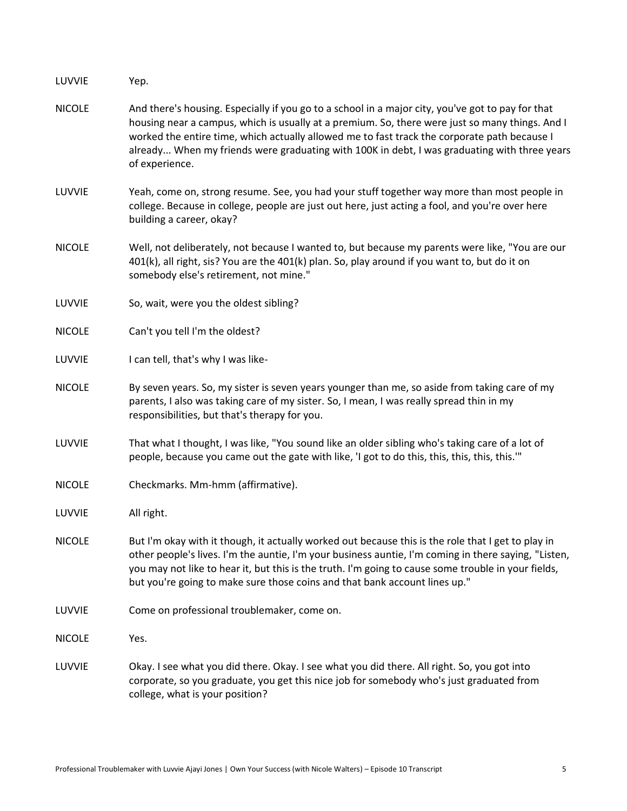| LUVVIE        | Yep.                                                                                                                                                                                                                                                                                                                                                                                                                   |
|---------------|------------------------------------------------------------------------------------------------------------------------------------------------------------------------------------------------------------------------------------------------------------------------------------------------------------------------------------------------------------------------------------------------------------------------|
| <b>NICOLE</b> | And there's housing. Especially if you go to a school in a major city, you've got to pay for that<br>housing near a campus, which is usually at a premium. So, there were just so many things. And I<br>worked the entire time, which actually allowed me to fast track the corporate path because I<br>already When my friends were graduating with 100K in debt, I was graduating with three years<br>of experience. |
| LUVVIE        | Yeah, come on, strong resume. See, you had your stuff together way more than most people in<br>college. Because in college, people are just out here, just acting a fool, and you're over here<br>building a career, okay?                                                                                                                                                                                             |
| <b>NICOLE</b> | Well, not deliberately, not because I wanted to, but because my parents were like, "You are our<br>401(k), all right, sis? You are the 401(k) plan. So, play around if you want to, but do it on<br>somebody else's retirement, not mine."                                                                                                                                                                             |
| LUVVIE        | So, wait, were you the oldest sibling?                                                                                                                                                                                                                                                                                                                                                                                 |
| <b>NICOLE</b> | Can't you tell I'm the oldest?                                                                                                                                                                                                                                                                                                                                                                                         |
| LUVVIE        | I can tell, that's why I was like-                                                                                                                                                                                                                                                                                                                                                                                     |
| <b>NICOLE</b> | By seven years. So, my sister is seven years younger than me, so aside from taking care of my<br>parents, I also was taking care of my sister. So, I mean, I was really spread thin in my<br>responsibilities, but that's therapy for you.                                                                                                                                                                             |
| LUVVIE        | That what I thought, I was like, "You sound like an older sibling who's taking care of a lot of<br>people, because you came out the gate with like, 'I got to do this, this, this, this, this.'"                                                                                                                                                                                                                       |
| <b>NICOLE</b> | Checkmarks. Mm-hmm (affirmative).                                                                                                                                                                                                                                                                                                                                                                                      |
| LUVVIE        | All right.                                                                                                                                                                                                                                                                                                                                                                                                             |
| <b>NICOLE</b> | But I'm okay with it though, it actually worked out because this is the role that I get to play in<br>other people's lives. I'm the auntie, I'm your business auntie, I'm coming in there saying, "Listen,<br>you may not like to hear it, but this is the truth. I'm going to cause some trouble in your fields,<br>but you're going to make sure those coins and that bank account lines up."                        |
| LUVVIE        | Come on professional troublemaker, come on.                                                                                                                                                                                                                                                                                                                                                                            |
| <b>NICOLE</b> | Yes.                                                                                                                                                                                                                                                                                                                                                                                                                   |
| LUVVIE        | Okay. I see what you did there. Okay. I see what you did there. All right. So, you got into<br>corporate, so you graduate, you get this nice job for somebody who's just graduated from<br>college, what is your position?                                                                                                                                                                                             |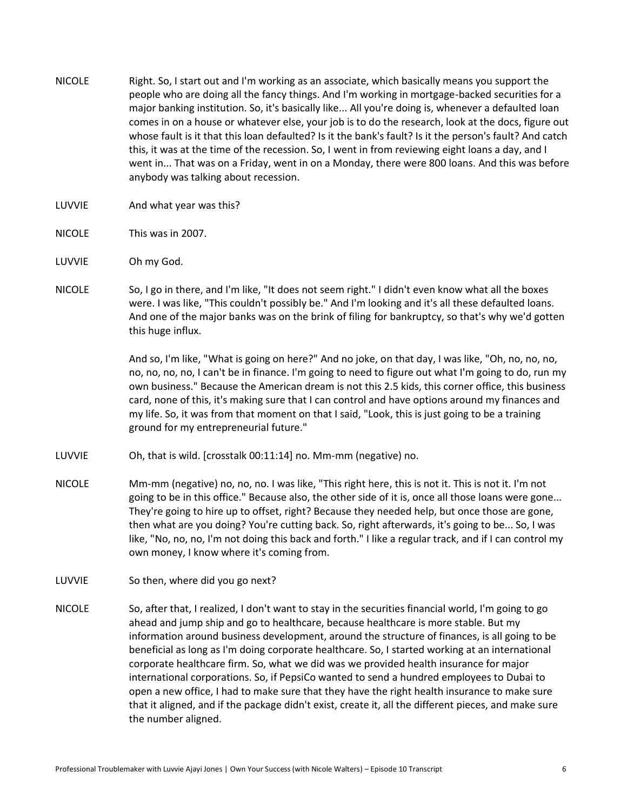- NICOLE Right. So, I start out and I'm working as an associate, which basically means you support the people who are doing all the fancy things. And I'm working in mortgage-backed securities for a major banking institution. So, it's basically like... All you're doing is, whenever a defaulted loan comes in on a house or whatever else, your job is to do the research, look at the docs, figure out whose fault is it that this loan defaulted? Is it the bank's fault? Is it the person's fault? And catch this, it was at the time of the recession. So, I went in from reviewing eight loans a day, and I went in... That was on a Friday, went in on a Monday, there were 800 loans. And this was before anybody was talking about recession.
- LUVVIE And what year was this?
- NICOLE This was in 2007.
- LUVVIE Oh my God.
- NICOLE So, I go in there, and I'm like, "It does not seem right." I didn't even know what all the boxes were. I was like, "This couldn't possibly be." And I'm looking and it's all these defaulted loans. And one of the major banks was on the brink of filing for bankruptcy, so that's why we'd gotten this huge influx.

And so, I'm like, "What is going on here?" And no joke, on that day, I was like, "Oh, no, no, no, no, no, no, no, I can't be in finance. I'm going to need to figure out what I'm going to do, run my own business." Because the American dream is not this 2.5 kids, this corner office, this business card, none of this, it's making sure that I can control and have options around my finances and my life. So, it was from that moment on that I said, "Look, this is just going to be a training ground for my entrepreneurial future."

- LUVVIE Oh, that is wild. [crosstalk 00:11:14] no. Mm-mm (negative) no.
- NICOLE Mm-mm (negative) no, no, no. I was like, "This right here, this is not it. This is not it. I'm not going to be in this office." Because also, the other side of it is, once all those loans were gone... They're going to hire up to offset, right? Because they needed help, but once those are gone, then what are you doing? You're cutting back. So, right afterwards, it's going to be... So, I was like, "No, no, no, I'm not doing this back and forth." I like a regular track, and if I can control my own money, I know where it's coming from.
- LUVVIE So then, where did you go next?
- NICOLE So, after that, I realized, I don't want to stay in the securities financial world, I'm going to go ahead and jump ship and go to healthcare, because healthcare is more stable. But my information around business development, around the structure of finances, is all going to be beneficial as long as I'm doing corporate healthcare. So, I started working at an international corporate healthcare firm. So, what we did was we provided health insurance for major international corporations. So, if PepsiCo wanted to send a hundred employees to Dubai to open a new office, I had to make sure that they have the right health insurance to make sure that it aligned, and if the package didn't exist, create it, all the different pieces, and make sure the number aligned.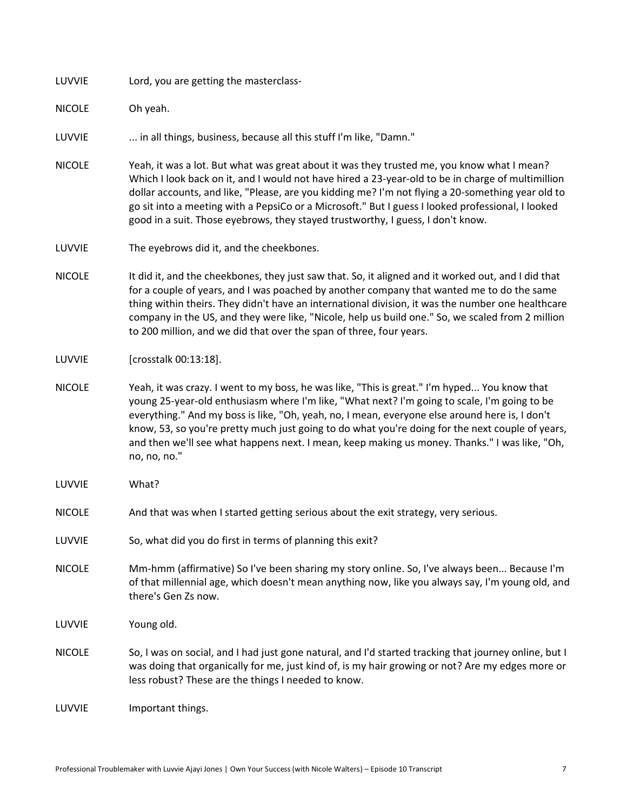LUVVIE Lord, you are getting the masterclass-

NICOLE Oh yeah.

LUVVIE ... in all things, business, because all this stuff I'm like, "Damn."

- NICOLE Yeah, it was a lot. But what was great about it was they trusted me, you know what I mean? Which I look back on it, and I would not have hired a 23-year-old to be in charge of multimillion dollar accounts, and like, "Please, are you kidding me? I'm not flying a 20-something year old to go sit into a meeting with a PepsiCo or a Microsoft." But I guess I looked professional, I looked good in a suit. Those eyebrows, they stayed trustworthy, I guess, I don't know.
- LUVVIE The eyebrows did it, and the cheekbones.
- NICOLE It did it, and the cheekbones, they just saw that. So, it aligned and it worked out, and I did that for a couple of years, and I was poached by another company that wanted me to do the same thing within theirs. They didn't have an international division, it was the number one healthcare company in the US, and they were like, "Nicole, help us build one." So, we scaled from 2 million to 200 million, and we did that over the span of three, four years.
- LUVVIE [crosstalk 00:13:18].
- NICOLE Yeah, it was crazy. I went to my boss, he was like, "This is great." I'm hyped... You know that young 25-year-old enthusiasm where I'm like, "What next? I'm going to scale, I'm going to be everything." And my boss is like, "Oh, yeah, no, I mean, everyone else around here is, I don't know, 53, so you're pretty much just going to do what you're doing for the next couple of years, and then we'll see what happens next. I mean, keep making us money. Thanks." I was like, "Oh, no, no, no."
- LUVVIE What?
- NICOLE And that was when I started getting serious about the exit strategy, very serious.
- LUVVIE So, what did you do first in terms of planning this exit?
- NICOLE Mm-hmm (affirmative) So I've been sharing my story online. So, I've always been... Because I'm of that millennial age, which doesn't mean anything now, like you always say, I'm young old, and there's Gen Zs now.
- LUVVIE Young old.
- NICOLE So, I was on social, and I had just gone natural, and I'd started tracking that journey online, but I was doing that organically for me, just kind of, is my hair growing or not? Are my edges more or less robust? These are the things I needed to know.

LUVVIE Important things.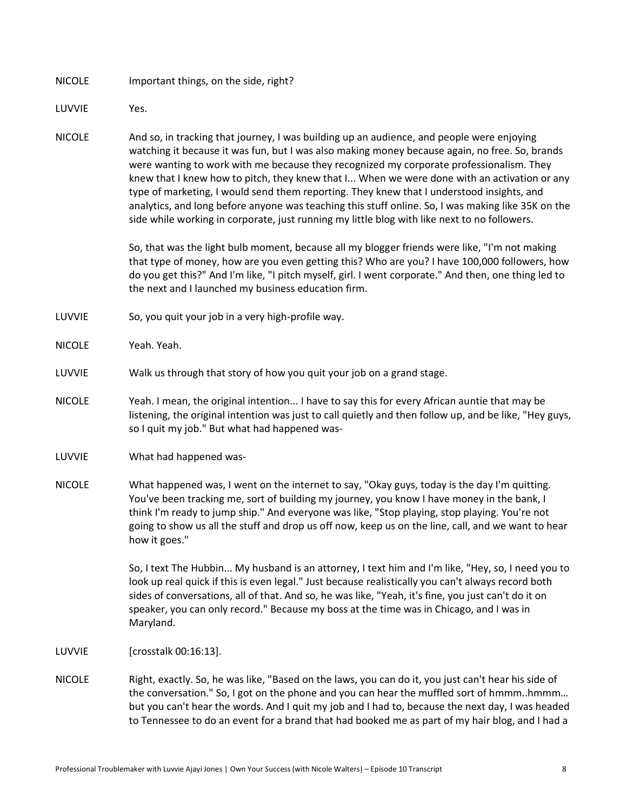NICOLE Important things, on the side, right?

LUVVIE Yes.

NICOLE And so, in tracking that journey, I was building up an audience, and people were enjoying watching it because it was fun, but I was also making money because again, no free. So, brands were wanting to work with me because they recognized my corporate professionalism. They knew that I knew how to pitch, they knew that I... When we were done with an activation or any type of marketing, I would send them reporting. They knew that I understood insights, and analytics, and long before anyone was teaching this stuff online. So, I was making like 35K on the side while working in corporate, just running my little blog with like next to no followers.

> So, that was the light bulb moment, because all my blogger friends were like, "I'm not making that type of money, how are you even getting this? Who are you? I have 100,000 followers, how do you get this?" And I'm like, "I pitch myself, girl. I went corporate." And then, one thing led to the next and I launched my business education firm.

- LUVVIE So, you quit your job in a very high-profile way.
- NICOLE Yeah. Yeah.
- LUVVIE Walk us through that story of how you quit your job on a grand stage.
- NICOLE Yeah. I mean, the original intention... I have to say this for every African auntie that may be listening, the original intention was just to call quietly and then follow up, and be like, "Hey guys, so I quit my job." But what had happened was-
- LUVVIE What had happened was-
- NICOLE What happened was, I went on the internet to say, "Okay guys, today is the day I'm quitting. You've been tracking me, sort of building my journey, you know I have money in the bank, I think I'm ready to jump ship." And everyone was like, "Stop playing, stop playing. You're not going to show us all the stuff and drop us off now, keep us on the line, call, and we want to hear how it goes."

So, I text The Hubbin... My husband is an attorney, I text him and I'm like, "Hey, so, I need you to look up real quick if this is even legal." Just because realistically you can't always record both sides of conversations, all of that. And so, he was like, "Yeah, it's fine, you just can't do it on speaker, you can only record." Because my boss at the time was in Chicago, and I was in Maryland.

- LUVVIE [crosstalk 00:16:13].
- NICOLE Right, exactly. So, he was like, "Based on the laws, you can do it, you just can't hear his side of the conversation." So, I got on the phone and you can hear the muffled sort of hmmm..hmmm... but you can't hear the words. And I quit my job and I had to, because the next day, I was headed to Tennessee to do an event for a brand that had booked me as part of my hair blog, and I had a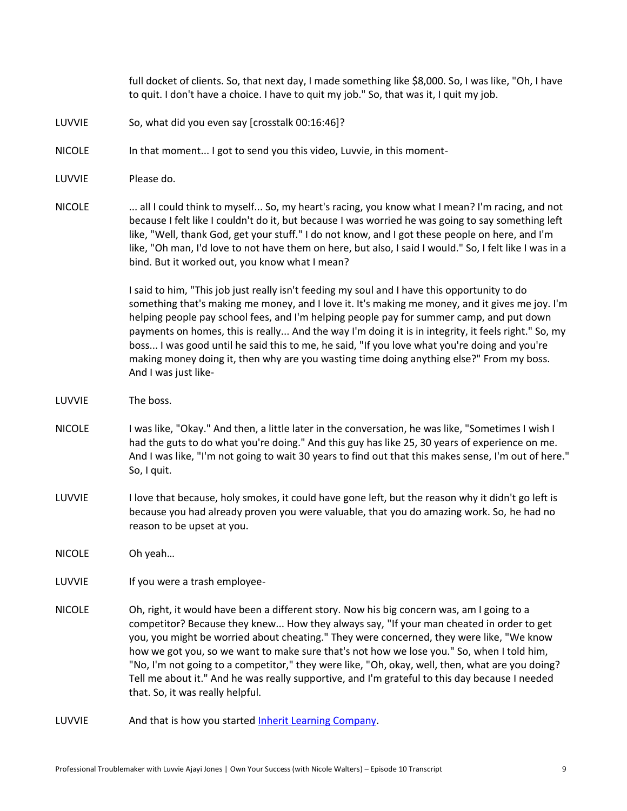full docket of clients. So, that next day, I made something like \$8,000. So, I was like, "Oh, I have to quit. I don't have a choice. I have to quit my job." So, that was it, I quit my job.

- LUVVIE So, what did you even say [crosstalk 00:16:46]?
- NICOLE In that moment... I got to send you this video, Luvvie, in this moment-
- LUVVIE Please do.
- NICOLE ... all I could think to myself... So, my heart's racing, you know what I mean? I'm racing, and not because I felt like I couldn't do it, but because I was worried he was going to say something left like, "Well, thank God, get your stuff." I do not know, and I got these people on here, and I'm like, "Oh man, I'd love to not have them on here, but also, I said I would." So, I felt like I was in a bind. But it worked out, you know what I mean?

I said to him, "This job just really isn't feeding my soul and I have this opportunity to do something that's making me money, and I love it. It's making me money, and it gives me joy. I'm helping people pay school fees, and I'm helping people pay for summer camp, and put down payments on homes, this is really... And the way I'm doing it is in integrity, it feels right." So, my boss... I was good until he said this to me, he said, "If you love what you're doing and you're making money doing it, then why are you wasting time doing anything else?" From my boss. And I was just like-

- LUVVIE The boss.
- NICOLE I was like, "Okay." And then, a little later in the conversation, he was like, "Sometimes I wish I had the guts to do what you're doing." And this guy has like 25, 30 years of experience on me. And I was like, "I'm not going to wait 30 years to find out that this makes sense, I'm out of here." So, I quit.
- LUVVIE I love that because, holy smokes, it could have gone left, but the reason why it didn't go left is because you had already proven you were valuable, that you do amazing work. So, he had no reason to be upset at you.

NICOLE Oh yeah…

LUVVIE If you were a trash employee-

- NICOLE Oh, right, it would have been a different story. Now his big concern was, am I going to a competitor? Because they knew... How they always say, "If your man cheated in order to get you, you might be worried about cheating." They were concerned, they were like, "We know how we got you, so we want to make sure that's not how we lose you." So, when I told him, "No, I'm not going to a competitor," they were like, "Oh, okay, well, then, what are you doing? Tell me about it." And he was really supportive, and I'm grateful to this day because I needed that. So, it was really helpful.
- LUVVIE And that is how you started [Inherit Learning Company.](https://inheritlearningcompany.com/)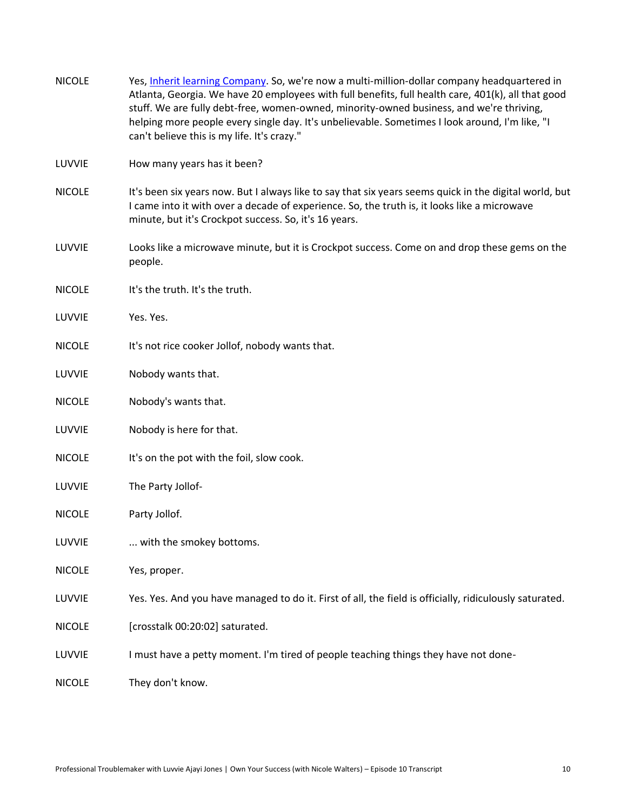| <b>NICOLE</b> | Yes, Inherit learning Company. So, we're now a multi-million-dollar company headquartered in<br>Atlanta, Georgia. We have 20 employees with full benefits, full health care, 401(k), all that good<br>stuff. We are fully debt-free, women-owned, minority-owned business, and we're thriving,<br>helping more people every single day. It's unbelievable. Sometimes I look around, I'm like, "I<br>can't believe this is my life. It's crazy." |
|---------------|-------------------------------------------------------------------------------------------------------------------------------------------------------------------------------------------------------------------------------------------------------------------------------------------------------------------------------------------------------------------------------------------------------------------------------------------------|
| LUVVIE        | How many years has it been?                                                                                                                                                                                                                                                                                                                                                                                                                     |
| <b>NICOLE</b> | It's been six years now. But I always like to say that six years seems quick in the digital world, but<br>I came into it with over a decade of experience. So, the truth is, it looks like a microwave<br>minute, but it's Crockpot success. So, it's 16 years.                                                                                                                                                                                 |
| LUVVIE        | Looks like a microwave minute, but it is Crockpot success. Come on and drop these gems on the<br>people.                                                                                                                                                                                                                                                                                                                                        |
| <b>NICOLE</b> | It's the truth. It's the truth.                                                                                                                                                                                                                                                                                                                                                                                                                 |
| LUVVIE        | Yes. Yes.                                                                                                                                                                                                                                                                                                                                                                                                                                       |
| <b>NICOLE</b> | It's not rice cooker Jollof, nobody wants that.                                                                                                                                                                                                                                                                                                                                                                                                 |
| LUVVIE        | Nobody wants that.                                                                                                                                                                                                                                                                                                                                                                                                                              |
| <b>NICOLE</b> | Nobody's wants that.                                                                                                                                                                                                                                                                                                                                                                                                                            |
| LUVVIE        | Nobody is here for that.                                                                                                                                                                                                                                                                                                                                                                                                                        |
| <b>NICOLE</b> | It's on the pot with the foil, slow cook.                                                                                                                                                                                                                                                                                                                                                                                                       |
| LUVVIE        | The Party Jollof-                                                                                                                                                                                                                                                                                                                                                                                                                               |
| <b>NICOLE</b> | Party Jollof.                                                                                                                                                                                                                                                                                                                                                                                                                                   |
| LUVVIE        | with the smokey bottoms.                                                                                                                                                                                                                                                                                                                                                                                                                        |
| <b>NICOLE</b> | Yes, proper.                                                                                                                                                                                                                                                                                                                                                                                                                                    |
| LUVVIE        | Yes. Yes. And you have managed to do it. First of all, the field is officially, ridiculously saturated.                                                                                                                                                                                                                                                                                                                                         |
| <b>NICOLE</b> | [crosstalk 00:20:02] saturated.                                                                                                                                                                                                                                                                                                                                                                                                                 |
| LUVVIE        | I must have a petty moment. I'm tired of people teaching things they have not done-                                                                                                                                                                                                                                                                                                                                                             |
| <b>NICOLE</b> | They don't know.                                                                                                                                                                                                                                                                                                                                                                                                                                |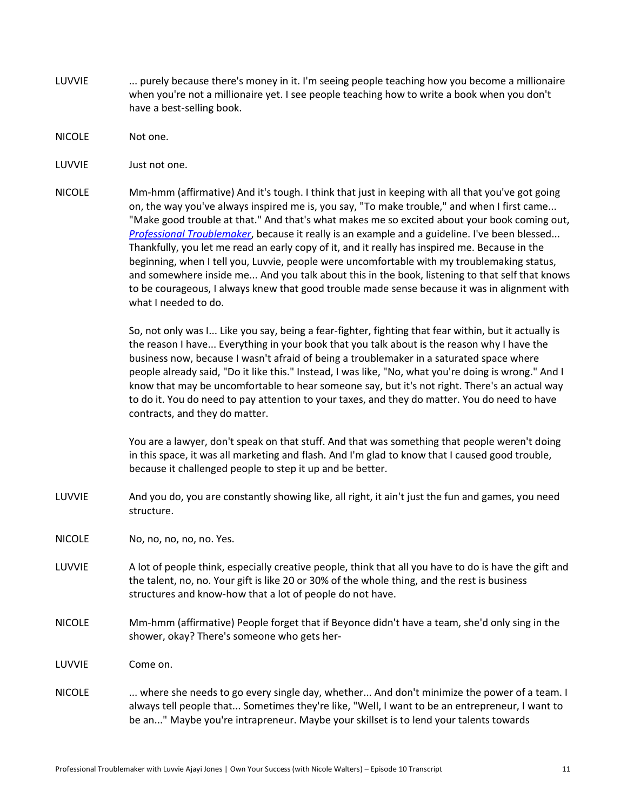- LUVVIE ... purely because there's money in it. I'm seeing people teaching how you become a millionaire when you're not a millionaire yet. I see people teaching how to write a book when you don't have a best-selling book.
- NICOLE Not one.
- LUVVIE Just not one.
- NICOLE Mm-hmm (affirmative) And it's tough. I think that just in keeping with all that you've got going on, the way you've always inspired me is, you say, "To make trouble," and when I first came... "Make good trouble at that." And that's what makes me so excited about your book coming out, *[Professional Troublemaker](http://professionaltroublemakerbook.com/)*, because it really is an example and a guideline. I've been blessed... Thankfully, you let me read an early copy of it, and it really has inspired me. Because in the beginning, when I tell you, Luvvie, people were uncomfortable with my troublemaking status, and somewhere inside me... And you talk about this in the book, listening to that self that knows to be courageous, I always knew that good trouble made sense because it was in alignment with what I needed to do.

So, not only was I... Like you say, being a fear-fighter, fighting that fear within, but it actually is the reason I have... Everything in your book that you talk about is the reason why I have the business now, because I wasn't afraid of being a troublemaker in a saturated space where people already said, "Do it like this." Instead, I was like, "No, what you're doing is wrong." And I know that may be uncomfortable to hear someone say, but it's not right. There's an actual way to do it. You do need to pay attention to your taxes, and they do matter. You do need to have contracts, and they do matter.

You are a lawyer, don't speak on that stuff. And that was something that people weren't doing in this space, it was all marketing and flash. And I'm glad to know that I caused good trouble, because it challenged people to step it up and be better.

- LUVVIE And you do, you are constantly showing like, all right, it ain't just the fun and games, you need structure.
- NICOLE No, no, no, no, no. Yes.
- LUVVIE A lot of people think, especially creative people, think that all you have to do is have the gift and the talent, no, no. Your gift is like 20 or 30% of the whole thing, and the rest is business structures and know-how that a lot of people do not have.
- NICOLE Mm-hmm (affirmative) People forget that if Beyonce didn't have a team, she'd only sing in the shower, okay? There's someone who gets her-
- LUVVIE Come on.
- NICOLE ... where she needs to go every single day, whether... And don't minimize the power of a team. I always tell people that... Sometimes they're like, "Well, I want to be an entrepreneur, I want to be an..." Maybe you're intrapreneur. Maybe your skillset is to lend your talents towards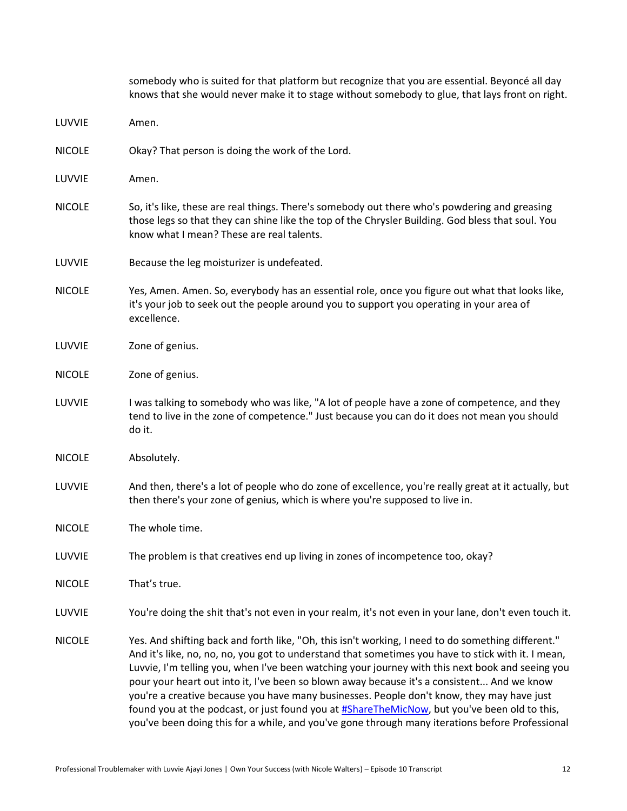|               | somebody who is suited for that platform but recognize that you are essential. Beyoncé all day<br>knows that she would never make it to stage without somebody to glue, that lays front on right.                                                                                                                                                                                                                                                                                                                                                                                                                                                                                                          |
|---------------|------------------------------------------------------------------------------------------------------------------------------------------------------------------------------------------------------------------------------------------------------------------------------------------------------------------------------------------------------------------------------------------------------------------------------------------------------------------------------------------------------------------------------------------------------------------------------------------------------------------------------------------------------------------------------------------------------------|
| LUVVIE        | Amen.                                                                                                                                                                                                                                                                                                                                                                                                                                                                                                                                                                                                                                                                                                      |
| <b>NICOLE</b> | Okay? That person is doing the work of the Lord.                                                                                                                                                                                                                                                                                                                                                                                                                                                                                                                                                                                                                                                           |
| LUVVIE        | Amen.                                                                                                                                                                                                                                                                                                                                                                                                                                                                                                                                                                                                                                                                                                      |
| <b>NICOLE</b> | So, it's like, these are real things. There's somebody out there who's powdering and greasing<br>those legs so that they can shine like the top of the Chrysler Building. God bless that soul. You<br>know what I mean? These are real talents.                                                                                                                                                                                                                                                                                                                                                                                                                                                            |
| LUVVIE        | Because the leg moisturizer is undefeated.                                                                                                                                                                                                                                                                                                                                                                                                                                                                                                                                                                                                                                                                 |
| <b>NICOLE</b> | Yes, Amen. Amen. So, everybody has an essential role, once you figure out what that looks like,<br>it's your job to seek out the people around you to support you operating in your area of<br>excellence.                                                                                                                                                                                                                                                                                                                                                                                                                                                                                                 |
| LUVVIE        | Zone of genius.                                                                                                                                                                                                                                                                                                                                                                                                                                                                                                                                                                                                                                                                                            |
| <b>NICOLE</b> | Zone of genius.                                                                                                                                                                                                                                                                                                                                                                                                                                                                                                                                                                                                                                                                                            |
| LUVVIE        | I was talking to somebody who was like, "A lot of people have a zone of competence, and they<br>tend to live in the zone of competence." Just because you can do it does not mean you should<br>do it.                                                                                                                                                                                                                                                                                                                                                                                                                                                                                                     |
| <b>NICOLE</b> | Absolutely.                                                                                                                                                                                                                                                                                                                                                                                                                                                                                                                                                                                                                                                                                                |
| LUVVIE        | And then, there's a lot of people who do zone of excellence, you're really great at it actually, but<br>then there's your zone of genius, which is where you're supposed to live in.                                                                                                                                                                                                                                                                                                                                                                                                                                                                                                                       |
| <b>NICOLE</b> | The whole time.                                                                                                                                                                                                                                                                                                                                                                                                                                                                                                                                                                                                                                                                                            |
| LUVVIE        | The problem is that creatives end up living in zones of incompetence too, okay?                                                                                                                                                                                                                                                                                                                                                                                                                                                                                                                                                                                                                            |
| <b>NICOLE</b> | That's true.                                                                                                                                                                                                                                                                                                                                                                                                                                                                                                                                                                                                                                                                                               |
| LUVVIE        | You're doing the shit that's not even in your realm, it's not even in your lane, don't even touch it.                                                                                                                                                                                                                                                                                                                                                                                                                                                                                                                                                                                                      |
| <b>NICOLE</b> | Yes. And shifting back and forth like, "Oh, this isn't working, I need to do something different."<br>And it's like, no, no, no, you got to understand that sometimes you have to stick with it. I mean,<br>Luvvie, I'm telling you, when I've been watching your journey with this next book and seeing you<br>pour your heart out into it, I've been so blown away because it's a consistent And we know<br>you're a creative because you have many businesses. People don't know, they may have just<br>found you at the podcast, or just found you at #ShareTheMicNow, but you've been old to this,<br>you've been doing this for a while, and you've gone through many iterations before Professional |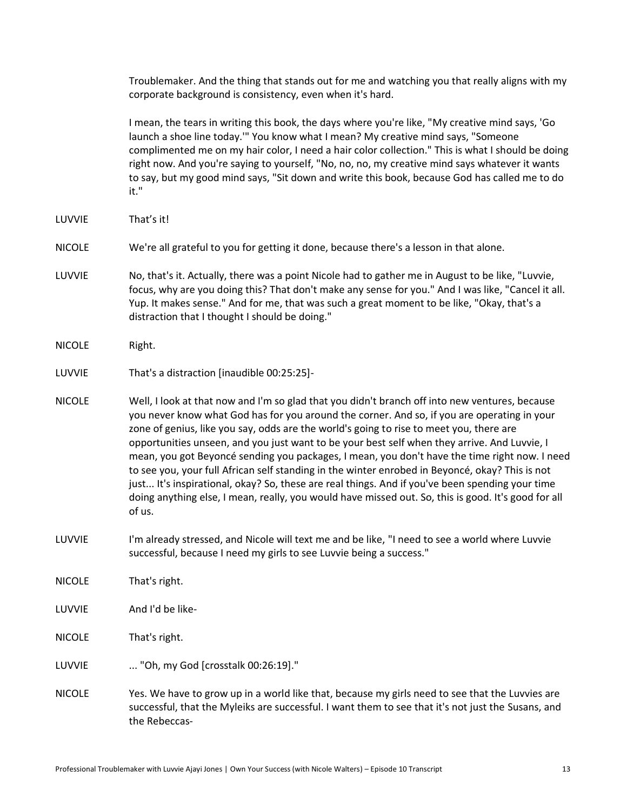Troublemaker. And the thing that stands out for me and watching you that really aligns with my corporate background is consistency, even when it's hard.

I mean, the tears in writing this book, the days where you're like, "My creative mind says, 'Go launch a shoe line today.'" You know what I mean? My creative mind says, "Someone complimented me on my hair color, I need a hair color collection." This is what I should be doing right now. And you're saying to yourself, "No, no, no, my creative mind says whatever it wants to say, but my good mind says, "Sit down and write this book, because God has called me to do it."

- LUVVIE That's it!
- NICOLE We're all grateful to you for getting it done, because there's a lesson in that alone.
- LUVVIE No, that's it. Actually, there was a point Nicole had to gather me in August to be like, "Luvvie, focus, why are you doing this? That don't make any sense for you." And I was like, "Cancel it all. Yup. It makes sense." And for me, that was such a great moment to be like, "Okay, that's a distraction that I thought I should be doing."
- NICOLE Right.

- NICOLE Well, I look at that now and I'm so glad that you didn't branch off into new ventures, because you never know what God has for you around the corner. And so, if you are operating in your zone of genius, like you say, odds are the world's going to rise to meet you, there are opportunities unseen, and you just want to be your best self when they arrive. And Luvvie, I mean, you got Beyoncé sending you packages, I mean, you don't have the time right now. I need to see you, your full African self standing in the winter enrobed in Beyoncé, okay? This is not just... It's inspirational, okay? So, these are real things. And if you've been spending your time doing anything else, I mean, really, you would have missed out. So, this is good. It's good for all of us.
- LUVVIE I'm already stressed, and Nicole will text me and be like, "I need to see a world where Luvvie successful, because I need my girls to see Luvvie being a success."
- NICOLE That's right.
- LUVVIE And I'd be like-
- NICOLE That's right.
- LUVVIE ... "Oh, my God [crosstalk 00:26:19]."
- NICOLE Yes. We have to grow up in a world like that, because my girls need to see that the Luvvies are successful, that the Myleiks are successful. I want them to see that it's not just the Susans, and the Rebeccas-

LUVVIE That's a distraction [inaudible 00:25:25]-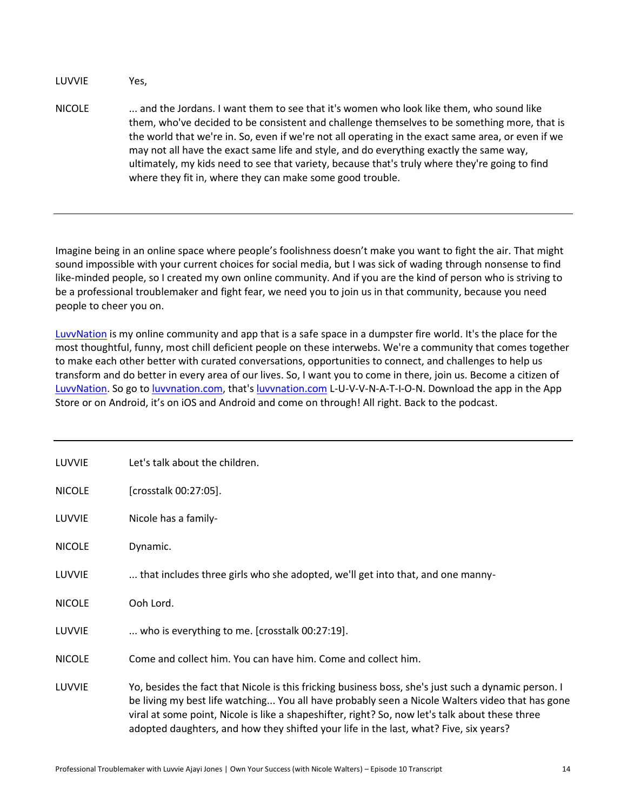LUVVIE Yes,

NICOLE ... and the Jordans. I want them to see that it's women who look like them, who sound like them, who've decided to be consistent and challenge themselves to be something more, that is the world that we're in. So, even if we're not all operating in the exact same area, or even if we may not all have the exact same life and style, and do everything exactly the same way, ultimately, my kids need to see that variety, because that's truly where they're going to find where they fit in, where they can make some good trouble.

Imagine being in an online space where people's foolishness doesn't make you want to fight the air. That might sound impossible with your current choices for social media, but I was sick of wading through nonsense to find like-minded people, so I created my own online community. And if you are the kind of person who is striving to be a professional troublemaker and fight fear, we need you to join us in that community, because you need people to cheer you on.

[LuvvNation](https://www.luvvnation.com/feed) is my online community and app that is a safe space in a dumpster fire world. It's the place for the most thoughtful, funny, most chill deficient people on these interwebs. We're a community that comes together to make each other better with curated conversations, opportunities to connect, and challenges to help us transform and do better in every area of our lives. So, I want you to come in there, join us. Become a citizen of [LuvvNation.](https://www.luvvnation.com/feed) So go t[o luvvnation.com,](https://www.luvvnation.com/feed) that'[s luvvnation.com](https://www.luvvnation.com/feed) L-U-V-V-N-A-T-I-O-N. Download the app in the App Store or on Android, it's on iOS and Android and come on through! All right. Back to the podcast.

| LUVVIE        | Let's talk about the children.                                                                                                                                                                                                                                                                                                                                                                      |
|---------------|-----------------------------------------------------------------------------------------------------------------------------------------------------------------------------------------------------------------------------------------------------------------------------------------------------------------------------------------------------------------------------------------------------|
| <b>NICOLE</b> | [crosstalk 00:27:05].                                                                                                                                                                                                                                                                                                                                                                               |
| LUVVIE        | Nicole has a family-                                                                                                                                                                                                                                                                                                                                                                                |
| <b>NICOLE</b> | Dynamic.                                                                                                                                                                                                                                                                                                                                                                                            |
| LUVVIE        | that includes three girls who she adopted, we'll get into that, and one manny-                                                                                                                                                                                                                                                                                                                      |
| <b>NICOLE</b> | Ooh Lord.                                                                                                                                                                                                                                                                                                                                                                                           |
| LUVVIE        | who is everything to me. [crosstalk 00:27:19].                                                                                                                                                                                                                                                                                                                                                      |
| <b>NICOLE</b> | Come and collect him. You can have him. Come and collect him.                                                                                                                                                                                                                                                                                                                                       |
| LUVVIE        | Yo, besides the fact that Nicole is this fricking business boss, she's just such a dynamic person. I<br>be living my best life watching You all have probably seen a Nicole Walters video that has gone<br>viral at some point, Nicole is like a shapeshifter, right? So, now let's talk about these three<br>adopted daughters, and how they shifted your life in the last, what? Five, six years? |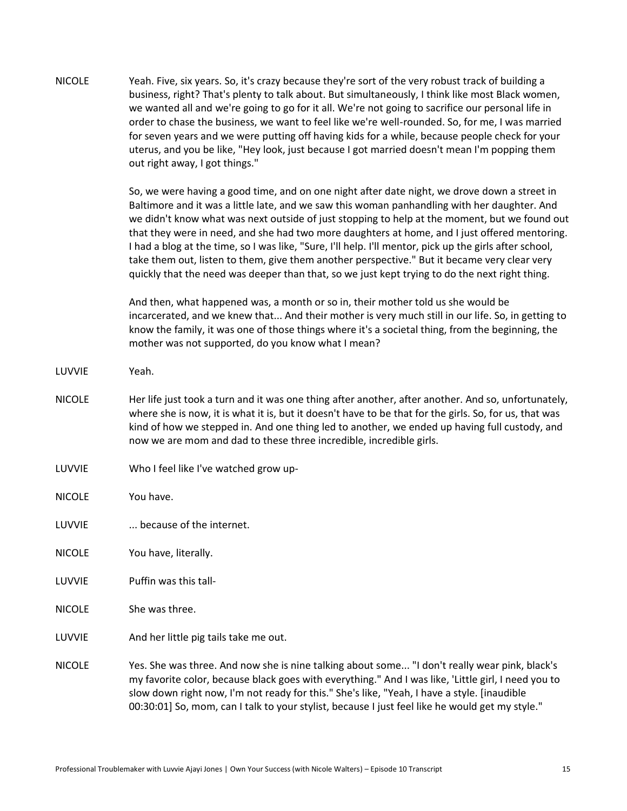| <b>NICOLE</b> | Yeah. Five, six years. So, it's crazy because they're sort of the very robust track of building a |
|---------------|---------------------------------------------------------------------------------------------------|
|               | business, right? That's plenty to talk about. But simultaneously, I think like most Black women,  |
|               | we wanted all and we're going to go for it all. We're not going to sacrifice our personal life in |
|               | order to chase the business, we want to feel like we're well-rounded. So, for me, I was married   |
|               | for seven years and we were putting off having kids for a while, because people check for your    |
|               | uterus, and you be like, "Hey look, just because I got married doesn't mean I'm popping them      |
|               | out right away, I got things."                                                                    |

So, we were having a good time, and on one night after date night, we drove down a street in Baltimore and it was a little late, and we saw this woman panhandling with her daughter. And we didn't know what was next outside of just stopping to help at the moment, but we found out that they were in need, and she had two more daughters at home, and I just offered mentoring. I had a blog at the time, so I was like, "Sure, I'll help. I'll mentor, pick up the girls after school, take them out, listen to them, give them another perspective." But it became very clear very quickly that the need was deeper than that, so we just kept trying to do the next right thing.

And then, what happened was, a month or so in, their mother told us she would be incarcerated, and we knew that... And their mother is very much still in our life. So, in getting to know the family, it was one of those things where it's a societal thing, from the beginning, the mother was not supported, do you know what I mean?

- LUVVIE Yeah.
- NICOLE Her life just took a turn and it was one thing after another, after another. And so, unfortunately, where she is now, it is what it is, but it doesn't have to be that for the girls. So, for us, that was kind of how we stepped in. And one thing led to another, we ended up having full custody, and now we are mom and dad to these three incredible, incredible girls.
- LUVVIE Who I feel like I've watched grow up-
- NICOLE You have.
- LUVVIE ... because of the internet.
- NICOLE You have, literally.
- LUVVIE Puffin was this tall-
- NICOLE She was three.
- LUVVIE And her little pig tails take me out.
- NICOLE Yes. She was three. And now she is nine talking about some... "I don't really wear pink, black's my favorite color, because black goes with everything." And I was like, 'Little girl, I need you to slow down right now, I'm not ready for this." She's like, "Yeah, I have a style. [inaudible 00:30:01] So, mom, can I talk to your stylist, because I just feel like he would get my style."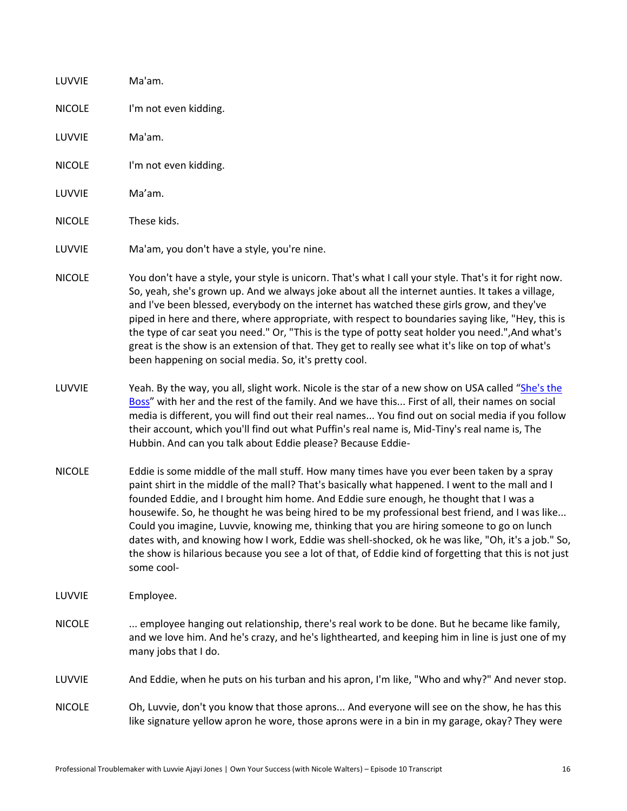| LUVVIE        | Ma'am.                                                                                                                                                                                                                                                                                                                                                                                                                                                                                                                                                                                                                                                                                                               |
|---------------|----------------------------------------------------------------------------------------------------------------------------------------------------------------------------------------------------------------------------------------------------------------------------------------------------------------------------------------------------------------------------------------------------------------------------------------------------------------------------------------------------------------------------------------------------------------------------------------------------------------------------------------------------------------------------------------------------------------------|
| <b>NICOLE</b> | I'm not even kidding.                                                                                                                                                                                                                                                                                                                                                                                                                                                                                                                                                                                                                                                                                                |
| LUVVIE        | Ma'am.                                                                                                                                                                                                                                                                                                                                                                                                                                                                                                                                                                                                                                                                                                               |
| <b>NICOLE</b> | I'm not even kidding.                                                                                                                                                                                                                                                                                                                                                                                                                                                                                                                                                                                                                                                                                                |
| LUVVIE        | Ma'am.                                                                                                                                                                                                                                                                                                                                                                                                                                                                                                                                                                                                                                                                                                               |
| <b>NICOLE</b> | These kids.                                                                                                                                                                                                                                                                                                                                                                                                                                                                                                                                                                                                                                                                                                          |
| LUVVIE        | Ma'am, you don't have a style, you're nine.                                                                                                                                                                                                                                                                                                                                                                                                                                                                                                                                                                                                                                                                          |
| <b>NICOLE</b> | You don't have a style, your style is unicorn. That's what I call your style. That's it for right now.<br>So, yeah, she's grown up. And we always joke about all the internet aunties. It takes a village,<br>and I've been blessed, everybody on the internet has watched these girls grow, and they've<br>piped in here and there, where appropriate, with respect to boundaries saying like, "Hey, this is<br>the type of car seat you need." Or, "This is the type of potty seat holder you need.", And what's<br>great is the show is an extension of that. They get to really see what it's like on top of what's<br>been happening on social media. So, it's pretty cool.                                     |
| LUVVIE        | Yeah. By the way, you all, slight work. Nicole is the star of a new show on USA called "She's the<br>Boss" with her and the rest of the family. And we have this First of all, their names on social<br>media is different, you will find out their real names You find out on social media if you follow<br>their account, which you'll find out what Puffin's real name is, Mid-Tiny's real name is, The<br>Hubbin. And can you talk about Eddie please? Because Eddie-                                                                                                                                                                                                                                            |
| <b>NICOLE</b> | Eddie is some middle of the mall stuff. How many times have you ever been taken by a spray<br>paint shirt in the middle of the mall? That's basically what happened. I went to the mall and I<br>founded Eddie, and I brought him home. And Eddie sure enough, he thought that I was a<br>housewife. So, he thought he was being hired to be my professional best friend, and I was like<br>Could you imagine, Luvvie, knowing me, thinking that you are hiring someone to go on lunch<br>dates with, and knowing how I work, Eddie was shell-shocked, ok he was like, "Oh, it's a job." So,<br>the show is hilarious because you see a lot of that, of Eddie kind of forgetting that this is not just<br>some cool- |
| LUVVIE        | Employee.                                                                                                                                                                                                                                                                                                                                                                                                                                                                                                                                                                                                                                                                                                            |
| <b>NICOLE</b> | employee hanging out relationship, there's real work to be done. But he became like family,<br>and we love him. And he's crazy, and he's lighthearted, and keeping him in line is just one of my<br>many jobs that I do.                                                                                                                                                                                                                                                                                                                                                                                                                                                                                             |
| LUVVIE        | And Eddie, when he puts on his turban and his apron, I'm like, "Who and why?" And never stop.                                                                                                                                                                                                                                                                                                                                                                                                                                                                                                                                                                                                                        |
| <b>NICOLE</b> | Oh, Luvvie, don't you know that those aprons And everyone will see on the show, he has this<br>like signature yellow apron he wore, those aprons were in a bin in my garage, okay? They were                                                                                                                                                                                                                                                                                                                                                                                                                                                                                                                         |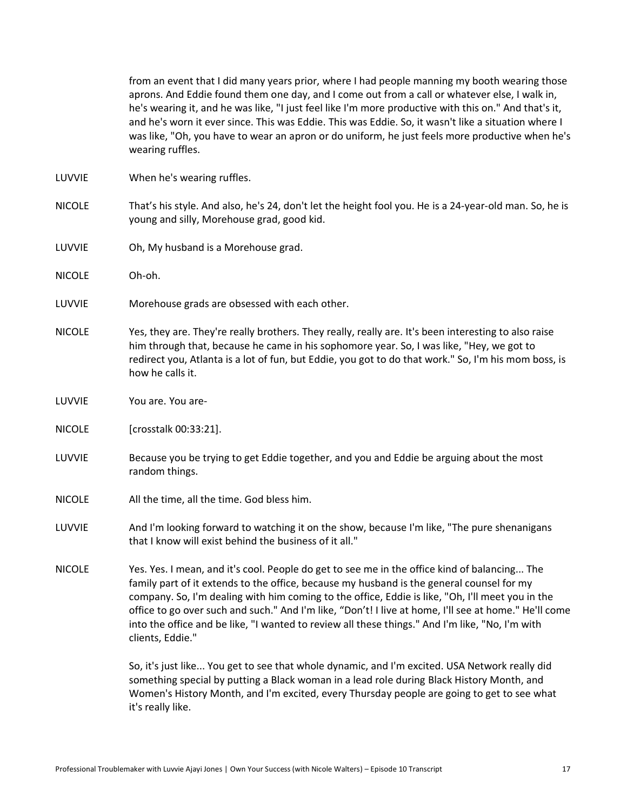from an event that I did many years prior, where I had people manning my booth wearing those aprons. And Eddie found them one day, and I come out from a call or whatever else, I walk in, he's wearing it, and he was like, "I just feel like I'm more productive with this on." And that's it, and he's worn it ever since. This was Eddie. This was Eddie. So, it wasn't like a situation where I was like, "Oh, you have to wear an apron or do uniform, he just feels more productive when he's wearing ruffles.

- LUVVIE When he's wearing ruffles.
- NICOLE That's his style. And also, he's 24, don't let the height fool you. He is a 24-year-old man. So, he is young and silly, Morehouse grad, good kid.
- LUVVIE Oh, My husband is a Morehouse grad.
- NICOLE Oh-oh.
- LUVVIE Morehouse grads are obsessed with each other.
- NICOLE Yes, they are. They're really brothers. They really, really are. It's been interesting to also raise him through that, because he came in his sophomore year. So, I was like, "Hey, we got to redirect you, Atlanta is a lot of fun, but Eddie, you got to do that work." So, I'm his mom boss, is how he calls it.
- LUVVIE You are. You are-
- NICOLE [crosstalk 00:33:21].
- LUVVIE Because you be trying to get Eddie together, and you and Eddie be arguing about the most random things.
- NICOLE All the time, all the time. God bless him.
- LUVVIE And I'm looking forward to watching it on the show, because I'm like, "The pure shenanigans that I know will exist behind the business of it all."
- NICOLE Yes. Yes. I mean, and it's cool. People do get to see me in the office kind of balancing... The family part of it extends to the office, because my husband is the general counsel for my company. So, I'm dealing with him coming to the office, Eddie is like, "Oh, I'll meet you in the office to go over such and such." And I'm like, "Don't! I live at home, I'll see at home." He'll come into the office and be like, "I wanted to review all these things." And I'm like, "No, I'm with clients, Eddie."

So, it's just like... You get to see that whole dynamic, and I'm excited. USA Network really did something special by putting a Black woman in a lead role during Black History Month, and Women's History Month, and I'm excited, every Thursday people are going to get to see what it's really like.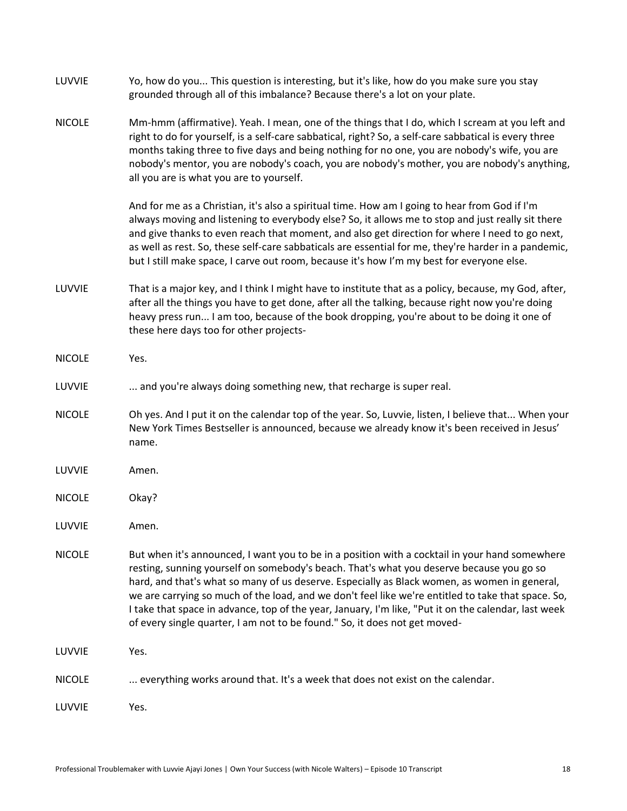| LUVVIE        | Yo, how do you This question is interesting, but it's like, how do you make sure you stay<br>grounded through all of this imbalance? Because there's a lot on your plate.                                                                                                                                                                                                                                                                                                                                                                                                              |
|---------------|----------------------------------------------------------------------------------------------------------------------------------------------------------------------------------------------------------------------------------------------------------------------------------------------------------------------------------------------------------------------------------------------------------------------------------------------------------------------------------------------------------------------------------------------------------------------------------------|
| <b>NICOLE</b> | Mm-hmm (affirmative). Yeah. I mean, one of the things that I do, which I scream at you left and<br>right to do for yourself, is a self-care sabbatical, right? So, a self-care sabbatical is every three<br>months taking three to five days and being nothing for no one, you are nobody's wife, you are<br>nobody's mentor, you are nobody's coach, you are nobody's mother, you are nobody's anything,<br>all you are is what you are to yourself.                                                                                                                                  |
|               | And for me as a Christian, it's also a spiritual time. How am I going to hear from God if I'm<br>always moving and listening to everybody else? So, it allows me to stop and just really sit there<br>and give thanks to even reach that moment, and also get direction for where I need to go next,<br>as well as rest. So, these self-care sabbaticals are essential for me, they're harder in a pandemic,<br>but I still make space, I carve out room, because it's how I'm my best for everyone else.                                                                              |
| LUVVIE        | That is a major key, and I think I might have to institute that as a policy, because, my God, after,<br>after all the things you have to get done, after all the talking, because right now you're doing<br>heavy press run I am too, because of the book dropping, you're about to be doing it one of<br>these here days too for other projects-                                                                                                                                                                                                                                      |
| <b>NICOLE</b> | Yes.                                                                                                                                                                                                                                                                                                                                                                                                                                                                                                                                                                                   |
| LUVVIE        | and you're always doing something new, that recharge is super real.                                                                                                                                                                                                                                                                                                                                                                                                                                                                                                                    |
| <b>NICOLE</b> | Oh yes. And I put it on the calendar top of the year. So, Luvvie, listen, I believe that When your<br>New York Times Bestseller is announced, because we already know it's been received in Jesus'<br>name.                                                                                                                                                                                                                                                                                                                                                                            |
| LUVVIE        | Amen.                                                                                                                                                                                                                                                                                                                                                                                                                                                                                                                                                                                  |
| <b>NICOLE</b> | Okay?                                                                                                                                                                                                                                                                                                                                                                                                                                                                                                                                                                                  |
| LUVVIE        | Amen.                                                                                                                                                                                                                                                                                                                                                                                                                                                                                                                                                                                  |
| <b>NICOLE</b> | But when it's announced, I want you to be in a position with a cocktail in your hand somewhere<br>resting, sunning yourself on somebody's beach. That's what you deserve because you go so<br>hard, and that's what so many of us deserve. Especially as Black women, as women in general,<br>we are carrying so much of the load, and we don't feel like we're entitled to take that space. So,<br>I take that space in advance, top of the year, January, I'm like, "Put it on the calendar, last week<br>of every single quarter, I am not to be found." So, it does not get moved- |
| LUVVIE        | Yes.                                                                                                                                                                                                                                                                                                                                                                                                                                                                                                                                                                                   |
| <b>NICOLE</b> | everything works around that. It's a week that does not exist on the calendar.                                                                                                                                                                                                                                                                                                                                                                                                                                                                                                         |
| LUVVIE        | Yes.                                                                                                                                                                                                                                                                                                                                                                                                                                                                                                                                                                                   |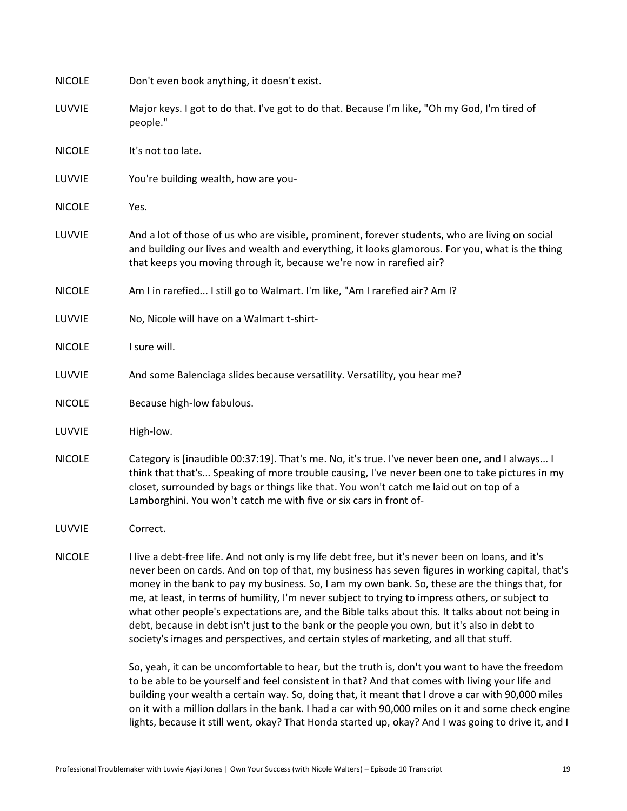| <b>NICOLE</b> | Don't even book anything, it doesn't exist.                                                                                                                                                                                                                                                                                                                                                                                                                                                                                                                                                                                                                                                                   |
|---------------|---------------------------------------------------------------------------------------------------------------------------------------------------------------------------------------------------------------------------------------------------------------------------------------------------------------------------------------------------------------------------------------------------------------------------------------------------------------------------------------------------------------------------------------------------------------------------------------------------------------------------------------------------------------------------------------------------------------|
| LUVVIE        | Major keys. I got to do that. I've got to do that. Because I'm like, "Oh my God, I'm tired of<br>people."                                                                                                                                                                                                                                                                                                                                                                                                                                                                                                                                                                                                     |
| <b>NICOLE</b> | It's not too late.                                                                                                                                                                                                                                                                                                                                                                                                                                                                                                                                                                                                                                                                                            |
| LUVVIE        | You're building wealth, how are you-                                                                                                                                                                                                                                                                                                                                                                                                                                                                                                                                                                                                                                                                          |
| <b>NICOLE</b> | Yes.                                                                                                                                                                                                                                                                                                                                                                                                                                                                                                                                                                                                                                                                                                          |
| LUVVIE        | And a lot of those of us who are visible, prominent, forever students, who are living on social<br>and building our lives and wealth and everything, it looks glamorous. For you, what is the thing<br>that keeps you moving through it, because we're now in rarefied air?                                                                                                                                                                                                                                                                                                                                                                                                                                   |
| <b>NICOLE</b> | Am I in rarefied I still go to Walmart. I'm like, "Am I rarefied air? Am I?                                                                                                                                                                                                                                                                                                                                                                                                                                                                                                                                                                                                                                   |
| LUVVIE        | No, Nicole will have on a Walmart t-shirt-                                                                                                                                                                                                                                                                                                                                                                                                                                                                                                                                                                                                                                                                    |
| <b>NICOLE</b> | I sure will.                                                                                                                                                                                                                                                                                                                                                                                                                                                                                                                                                                                                                                                                                                  |
| LUVVIE        | And some Balenciaga slides because versatility. Versatility, you hear me?                                                                                                                                                                                                                                                                                                                                                                                                                                                                                                                                                                                                                                     |
| <b>NICOLE</b> | Because high-low fabulous.                                                                                                                                                                                                                                                                                                                                                                                                                                                                                                                                                                                                                                                                                    |
| LUVVIE        | High-low.                                                                                                                                                                                                                                                                                                                                                                                                                                                                                                                                                                                                                                                                                                     |
| <b>NICOLE</b> | Category is [inaudible 00:37:19]. That's me. No, it's true. I've never been one, and I always I<br>think that that's Speaking of more trouble causing, I've never been one to take pictures in my<br>closet, surrounded by bags or things like that. You won't catch me laid out on top of a<br>Lamborghini. You won't catch me with five or six cars in front of-                                                                                                                                                                                                                                                                                                                                            |
| LUVVIE        | Correct.                                                                                                                                                                                                                                                                                                                                                                                                                                                                                                                                                                                                                                                                                                      |
| <b>NICOLE</b> | I live a debt-free life. And not only is my life debt free, but it's never been on loans, and it's<br>never been on cards. And on top of that, my business has seven figures in working capital, that's<br>money in the bank to pay my business. So, I am my own bank. So, these are the things that, for<br>me, at least, in terms of humility, I'm never subject to trying to impress others, or subject to<br>what other people's expectations are, and the Bible talks about this. It talks about not being in<br>debt, because in debt isn't just to the bank or the people you own, but it's also in debt to<br>society's images and perspectives, and certain styles of marketing, and all that stuff. |
|               | So, yeah, it can be uncomfortable to hear, but the truth is, don't you want to have the freedom<br>to be able to be yourself and feel consistent in that? And that comes with living your life and<br>building your wealth a certain way. So, doing that, it meant that I drove a car with 90,000 miles<br>on it with a million dollars in the bank. I had a car with 90,000 miles on it and some check engine<br>lights, because it still went, okay? That Honda started up, okay? And I was going to drive it, and I                                                                                                                                                                                        |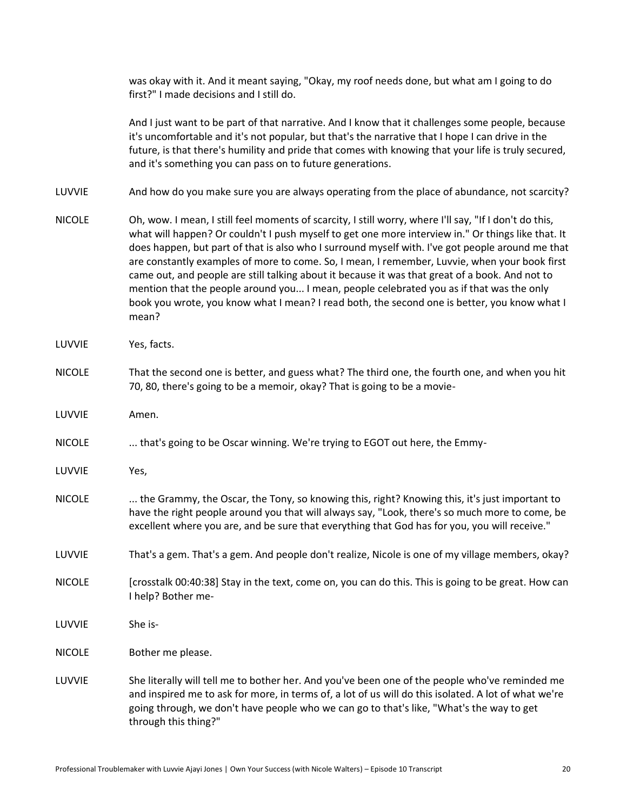was okay with it. And it meant saying, "Okay, my roof needs done, but what am I going to do first?" I made decisions and I still do.

And I just want to be part of that narrative. And I know that it challenges some people, because it's uncomfortable and it's not popular, but that's the narrative that I hope I can drive in the future, is that there's humility and pride that comes with knowing that your life is truly secured, and it's something you can pass on to future generations.

LUVVIE And how do you make sure you are always operating from the place of abundance, not scarcity?

- NICOLE Oh, wow. I mean, I still feel moments of scarcity, I still worry, where I'll say, "If I don't do this, what will happen? Or couldn't I push myself to get one more interview in." Or things like that. It does happen, but part of that is also who I surround myself with. I've got people around me that are constantly examples of more to come. So, I mean, I remember, Luvvie, when your book first came out, and people are still talking about it because it was that great of a book. And not to mention that the people around you... I mean, people celebrated you as if that was the only book you wrote, you know what I mean? I read both, the second one is better, you know what I mean?
- LUVVIE Yes, facts.
- NICOLE That the second one is better, and guess what? The third one, the fourth one, and when you hit 70, 80, there's going to be a memoir, okay? That is going to be a movie-
- LUVVIE Amen.
- NICOLE ... that's going to be Oscar winning. We're trying to EGOT out here, the Emmy-
- LUVVIE Yes,
- NICOLE ... the Grammy, the Oscar, the Tony, so knowing this, right? Knowing this, it's just important to have the right people around you that will always say, "Look, there's so much more to come, be excellent where you are, and be sure that everything that God has for you, you will receive."
- LUVVIE That's a gem. That's a gem. And people don't realize, Nicole is one of my village members, okay?
- NICOLE [crosstalk 00:40:38] Stay in the text, come on, you can do this. This is going to be great. How can I help? Bother me-
- LUVVIE She is-
- NICOLE Bother me please.
- LUVVIE She literally will tell me to bother her. And you've been one of the people who've reminded me and inspired me to ask for more, in terms of, a lot of us will do this isolated. A lot of what we're going through, we don't have people who we can go to that's like, "What's the way to get through this thing?"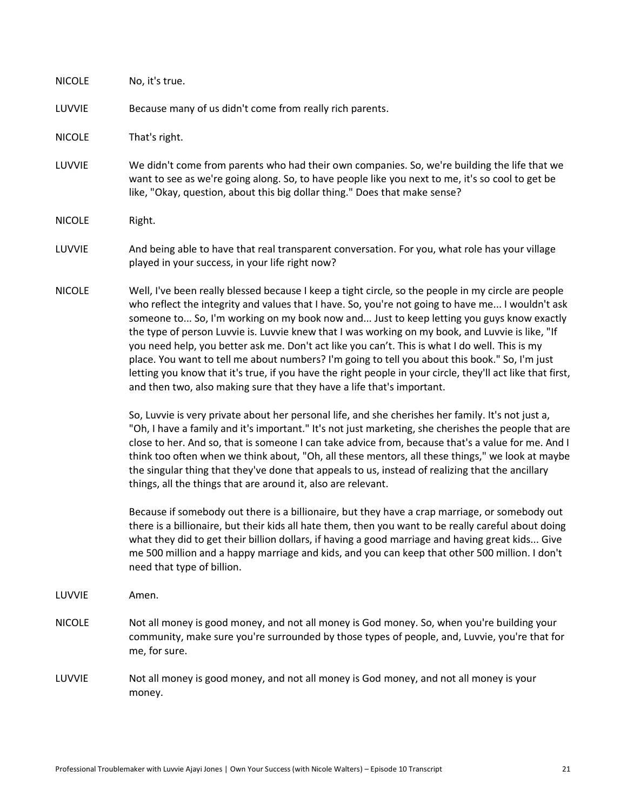| <b>NICOLE</b> | No, it's true.                                                                                                                                                                                                                                                                                                                                                                                                                                                                                                                                                                                                                                                                                                                                                                                                                                                                                                                                                                                                                                                                                                                                                                                                                                                                                                                                                                                                                                                                                                                                                                                                                                                                                                                                                                                                                                 |
|---------------|------------------------------------------------------------------------------------------------------------------------------------------------------------------------------------------------------------------------------------------------------------------------------------------------------------------------------------------------------------------------------------------------------------------------------------------------------------------------------------------------------------------------------------------------------------------------------------------------------------------------------------------------------------------------------------------------------------------------------------------------------------------------------------------------------------------------------------------------------------------------------------------------------------------------------------------------------------------------------------------------------------------------------------------------------------------------------------------------------------------------------------------------------------------------------------------------------------------------------------------------------------------------------------------------------------------------------------------------------------------------------------------------------------------------------------------------------------------------------------------------------------------------------------------------------------------------------------------------------------------------------------------------------------------------------------------------------------------------------------------------------------------------------------------------------------------------------------------------|
| LUVVIE        | Because many of us didn't come from really rich parents.                                                                                                                                                                                                                                                                                                                                                                                                                                                                                                                                                                                                                                                                                                                                                                                                                                                                                                                                                                                                                                                                                                                                                                                                                                                                                                                                                                                                                                                                                                                                                                                                                                                                                                                                                                                       |
| <b>NICOLE</b> | That's right.                                                                                                                                                                                                                                                                                                                                                                                                                                                                                                                                                                                                                                                                                                                                                                                                                                                                                                                                                                                                                                                                                                                                                                                                                                                                                                                                                                                                                                                                                                                                                                                                                                                                                                                                                                                                                                  |
| LUVVIE        | We didn't come from parents who had their own companies. So, we're building the life that we<br>want to see as we're going along. So, to have people like you next to me, it's so cool to get be<br>like, "Okay, question, about this big dollar thing." Does that make sense?                                                                                                                                                                                                                                                                                                                                                                                                                                                                                                                                                                                                                                                                                                                                                                                                                                                                                                                                                                                                                                                                                                                                                                                                                                                                                                                                                                                                                                                                                                                                                                 |
| <b>NICOLE</b> | Right.                                                                                                                                                                                                                                                                                                                                                                                                                                                                                                                                                                                                                                                                                                                                                                                                                                                                                                                                                                                                                                                                                                                                                                                                                                                                                                                                                                                                                                                                                                                                                                                                                                                                                                                                                                                                                                         |
| LUVVIE        | And being able to have that real transparent conversation. For you, what role has your village<br>played in your success, in your life right now?                                                                                                                                                                                                                                                                                                                                                                                                                                                                                                                                                                                                                                                                                                                                                                                                                                                                                                                                                                                                                                                                                                                                                                                                                                                                                                                                                                                                                                                                                                                                                                                                                                                                                              |
| <b>NICOLE</b> | Well, I've been really blessed because I keep a tight circle, so the people in my circle are people<br>who reflect the integrity and values that I have. So, you're not going to have me I wouldn't ask<br>someone to So, I'm working on my book now and Just to keep letting you guys know exactly<br>the type of person Luvvie is. Luvvie knew that I was working on my book, and Luvvie is like, "If<br>you need help, you better ask me. Don't act like you can't. This is what I do well. This is my<br>place. You want to tell me about numbers? I'm going to tell you about this book." So, I'm just<br>letting you know that it's true, if you have the right people in your circle, they'll act like that first,<br>and then two, also making sure that they have a life that's important.<br>So, Luvvie is very private about her personal life, and she cherishes her family. It's not just a,<br>"Oh, I have a family and it's important." It's not just marketing, she cherishes the people that are<br>close to her. And so, that is someone I can take advice from, because that's a value for me. And I<br>think too often when we think about, "Oh, all these mentors, all these things," we look at maybe<br>the singular thing that they've done that appeals to us, instead of realizing that the ancillary<br>things, all the things that are around it, also are relevant.<br>Because if somebody out there is a billionaire, but they have a crap marriage, or somebody out<br>there is a billionaire, but their kids all hate them, then you want to be really careful about doing<br>what they did to get their billion dollars, if having a good marriage and having great kids Give<br>me 500 million and a happy marriage and kids, and you can keep that other 500 million. I don't<br>need that type of billion. |
| LUVVIE        | Amen.                                                                                                                                                                                                                                                                                                                                                                                                                                                                                                                                                                                                                                                                                                                                                                                                                                                                                                                                                                                                                                                                                                                                                                                                                                                                                                                                                                                                                                                                                                                                                                                                                                                                                                                                                                                                                                          |
| <b>NICOLE</b> | Not all money is good money, and not all money is God money. So, when you're building your<br>community, make sure you're surrounded by those types of people, and, Luvvie, you're that for<br>me, for sure.                                                                                                                                                                                                                                                                                                                                                                                                                                                                                                                                                                                                                                                                                                                                                                                                                                                                                                                                                                                                                                                                                                                                                                                                                                                                                                                                                                                                                                                                                                                                                                                                                                   |
| LUVVIE        | Not all money is good money, and not all money is God money, and not all money is your<br>money.                                                                                                                                                                                                                                                                                                                                                                                                                                                                                                                                                                                                                                                                                                                                                                                                                                                                                                                                                                                                                                                                                                                                                                                                                                                                                                                                                                                                                                                                                                                                                                                                                                                                                                                                               |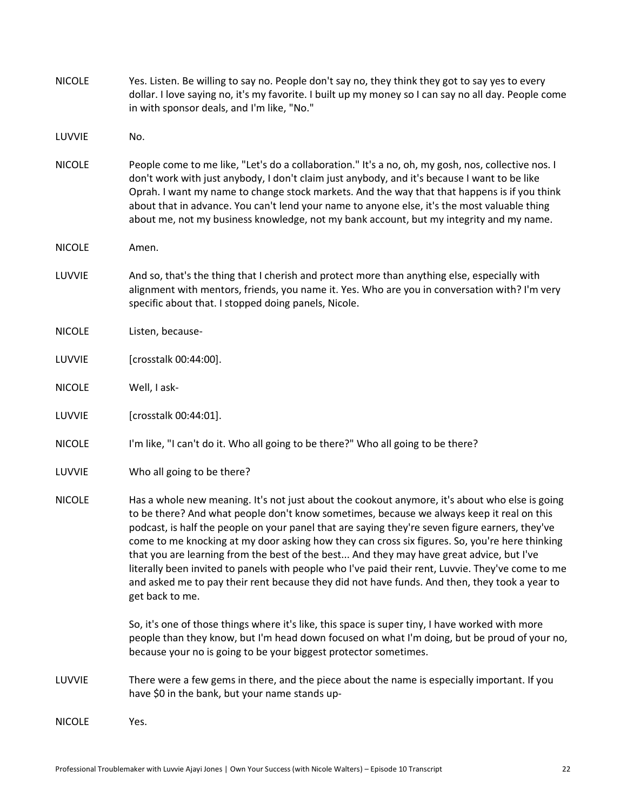| <b>NICOLE</b> | Yes. Listen. Be willing to say no. People don't say no, they think they got to say yes to every<br>dollar. I love saying no, it's my favorite. I built up my money so I can say no all day. People come<br>in with sponsor deals, and I'm like, "No."                                                                                                                                                                                                                                                                                                                                                                                                                                                                 |
|---------------|-----------------------------------------------------------------------------------------------------------------------------------------------------------------------------------------------------------------------------------------------------------------------------------------------------------------------------------------------------------------------------------------------------------------------------------------------------------------------------------------------------------------------------------------------------------------------------------------------------------------------------------------------------------------------------------------------------------------------|
| LUVVIE        | No.                                                                                                                                                                                                                                                                                                                                                                                                                                                                                                                                                                                                                                                                                                                   |
| <b>NICOLE</b> | People come to me like, "Let's do a collaboration." It's a no, oh, my gosh, nos, collective nos. I<br>don't work with just anybody, I don't claim just anybody, and it's because I want to be like<br>Oprah. I want my name to change stock markets. And the way that that happens is if you think<br>about that in advance. You can't lend your name to anyone else, it's the most valuable thing<br>about me, not my business knowledge, not my bank account, but my integrity and my name.                                                                                                                                                                                                                         |
| <b>NICOLE</b> | Amen.                                                                                                                                                                                                                                                                                                                                                                                                                                                                                                                                                                                                                                                                                                                 |
| LUVVIE        | And so, that's the thing that I cherish and protect more than anything else, especially with<br>alignment with mentors, friends, you name it. Yes. Who are you in conversation with? I'm very<br>specific about that. I stopped doing panels, Nicole.                                                                                                                                                                                                                                                                                                                                                                                                                                                                 |
| <b>NICOLE</b> | Listen, because-                                                                                                                                                                                                                                                                                                                                                                                                                                                                                                                                                                                                                                                                                                      |
| LUVVIE        | [crosstalk 00:44:00].                                                                                                                                                                                                                                                                                                                                                                                                                                                                                                                                                                                                                                                                                                 |
| <b>NICOLE</b> | Well, I ask-                                                                                                                                                                                                                                                                                                                                                                                                                                                                                                                                                                                                                                                                                                          |
| LUVVIE        | [crosstalk 00:44:01].                                                                                                                                                                                                                                                                                                                                                                                                                                                                                                                                                                                                                                                                                                 |
| <b>NICOLE</b> | I'm like, "I can't do it. Who all going to be there?" Who all going to be there?                                                                                                                                                                                                                                                                                                                                                                                                                                                                                                                                                                                                                                      |
| LUVVIE        | Who all going to be there?                                                                                                                                                                                                                                                                                                                                                                                                                                                                                                                                                                                                                                                                                            |
| <b>NICOLE</b> | Has a whole new meaning. It's not just about the cookout anymore, it's about who else is going<br>to be there? And what people don't know sometimes, because we always keep it real on this<br>podcast, is half the people on your panel that are saying they're seven figure earners, they've<br>come to me knocking at my door asking how they can cross six figures. So, you're here thinking<br>that you are learning from the best of the best And they may have great advice, but I've<br>literally been invited to panels with people who I've paid their rent, Luvvie. They've come to me<br>and asked me to pay their rent because they did not have funds. And then, they took a year to<br>get back to me. |
|               | So, it's one of those things where it's like, this space is super tiny, I have worked with more<br>people than they know, but I'm head down focused on what I'm doing, but be proud of your no,<br>because your no is going to be your biggest protector sometimes.                                                                                                                                                                                                                                                                                                                                                                                                                                                   |
| LUVVIE        | There were a few gems in there, and the piece about the name is especially important. If you<br>have \$0 in the bank, but your name stands up-                                                                                                                                                                                                                                                                                                                                                                                                                                                                                                                                                                        |
| <b>NICOLE</b> | Yes.                                                                                                                                                                                                                                                                                                                                                                                                                                                                                                                                                                                                                                                                                                                  |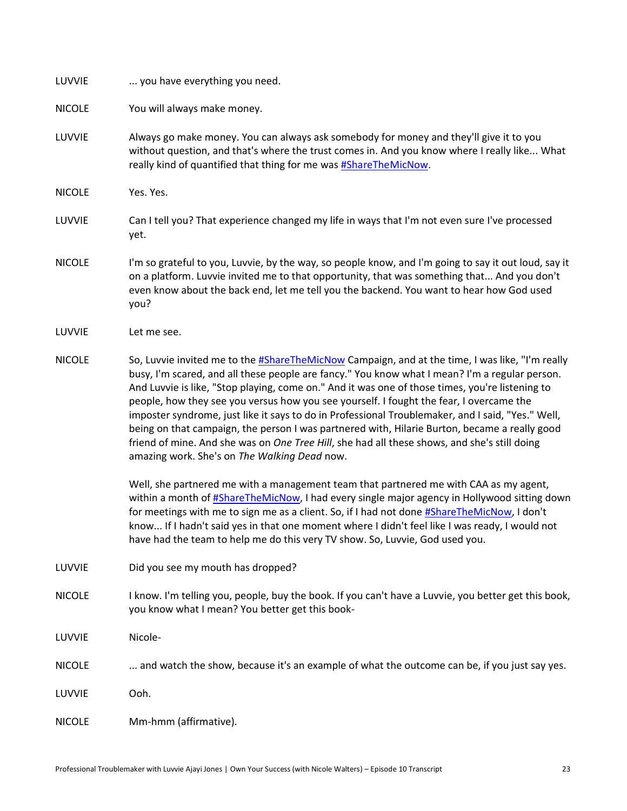| LUVVIE        | you have everything you need.                                                                                                                                                                                                                                                                                                                                                                                                                                                                                                                                                                                                                                                                                                                                                                                                                  |
|---------------|------------------------------------------------------------------------------------------------------------------------------------------------------------------------------------------------------------------------------------------------------------------------------------------------------------------------------------------------------------------------------------------------------------------------------------------------------------------------------------------------------------------------------------------------------------------------------------------------------------------------------------------------------------------------------------------------------------------------------------------------------------------------------------------------------------------------------------------------|
| <b>NICOLE</b> | You will always make money.                                                                                                                                                                                                                                                                                                                                                                                                                                                                                                                                                                                                                                                                                                                                                                                                                    |
| LUVVIE        | Always go make money. You can always ask somebody for money and they'll give it to you<br>without question, and that's where the trust comes in. And you know where I really like What<br>really kind of quantified that thing for me was <b>#ShareTheMicNow</b> .                                                                                                                                                                                                                                                                                                                                                                                                                                                                                                                                                                             |
| <b>NICOLE</b> | Yes. Yes.                                                                                                                                                                                                                                                                                                                                                                                                                                                                                                                                                                                                                                                                                                                                                                                                                                      |
| LUVVIE        | Can I tell you? That experience changed my life in ways that I'm not even sure I've processed<br>yet.                                                                                                                                                                                                                                                                                                                                                                                                                                                                                                                                                                                                                                                                                                                                          |
| <b>NICOLE</b> | I'm so grateful to you, Luvvie, by the way, so people know, and I'm going to say it out loud, say it<br>on a platform. Luvvie invited me to that opportunity, that was something that And you don't<br>even know about the back end, let me tell you the backend. You want to hear how God used<br>you?                                                                                                                                                                                                                                                                                                                                                                                                                                                                                                                                        |
| LUVVIE        | Let me see.                                                                                                                                                                                                                                                                                                                                                                                                                                                                                                                                                                                                                                                                                                                                                                                                                                    |
| <b>NICOLE</b> | So, Luvvie invited me to the #ShareTheMicNow Campaign, and at the time, I was like, "I'm really<br>busy, I'm scared, and all these people are fancy." You know what I mean? I'm a regular person.<br>And Luvvie is like, "Stop playing, come on." And it was one of those times, you're listening to<br>people, how they see you versus how you see yourself. I fought the fear, I overcame the<br>imposter syndrome, just like it says to do in Professional Troublemaker, and I said, "Yes." Well,<br>being on that campaign, the person I was partnered with, Hilarie Burton, became a really good<br>friend of mine. And she was on One Tree Hill, she had all these shows, and she's still doing<br>amazing work. She's on The Walking Dead now.<br>Well, she partnered me with a management team that partnered me with CAA as my agent, |
|               | within a month of #ShareTheMicNow, I had every single major agency in Hollywood sitting down<br>for meetings with me to sign me as a client. So, if I had not done #ShareTheMicNow, I don't<br>know If I hadn't said yes in that one moment where I didn't feel like I was ready, I would not<br>have had the team to help me do this very TV show. So, Luvvie, God used you.                                                                                                                                                                                                                                                                                                                                                                                                                                                                  |
| LUVVIE        | Did you see my mouth has dropped?                                                                                                                                                                                                                                                                                                                                                                                                                                                                                                                                                                                                                                                                                                                                                                                                              |
| <b>NICOLE</b> | I know. I'm telling you, people, buy the book. If you can't have a Luvvie, you better get this book,<br>you know what I mean? You better get this book-                                                                                                                                                                                                                                                                                                                                                                                                                                                                                                                                                                                                                                                                                        |
| LUVVIE        | Nicole-                                                                                                                                                                                                                                                                                                                                                                                                                                                                                                                                                                                                                                                                                                                                                                                                                                        |
| <b>NICOLE</b> | and watch the show, because it's an example of what the outcome can be, if you just say yes.                                                                                                                                                                                                                                                                                                                                                                                                                                                                                                                                                                                                                                                                                                                                                   |
| LUVVIE        | Ooh.                                                                                                                                                                                                                                                                                                                                                                                                                                                                                                                                                                                                                                                                                                                                                                                                                                           |
| <b>NICOLE</b> | Mm-hmm (affirmative).                                                                                                                                                                                                                                                                                                                                                                                                                                                                                                                                                                                                                                                                                                                                                                                                                          |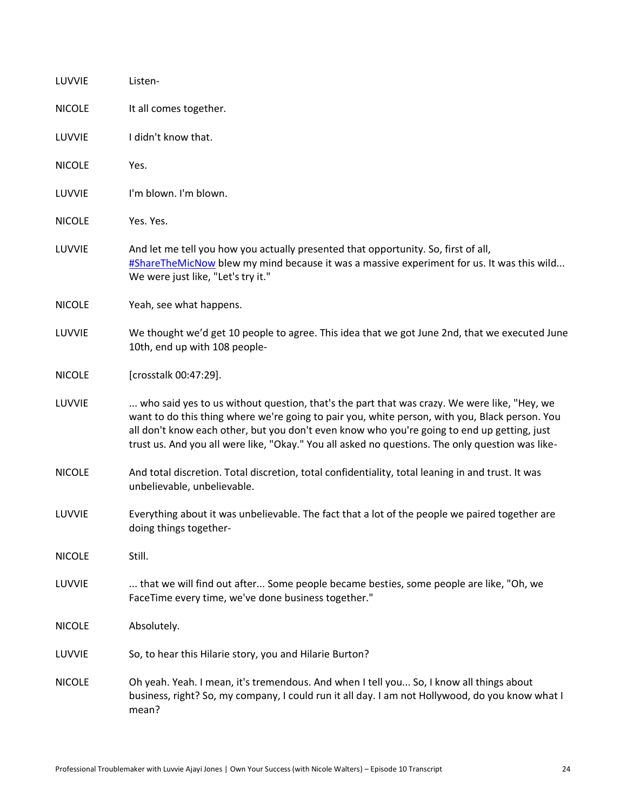| LUVVIE        | Listen-                                                                                                                                                                                                                                                                                                                                                                                          |
|---------------|--------------------------------------------------------------------------------------------------------------------------------------------------------------------------------------------------------------------------------------------------------------------------------------------------------------------------------------------------------------------------------------------------|
| <b>NICOLE</b> | It all comes together.                                                                                                                                                                                                                                                                                                                                                                           |
| LUVVIE        | I didn't know that.                                                                                                                                                                                                                                                                                                                                                                              |
| <b>NICOLE</b> | Yes.                                                                                                                                                                                                                                                                                                                                                                                             |
| LUVVIE        | I'm blown. I'm blown.                                                                                                                                                                                                                                                                                                                                                                            |
| <b>NICOLE</b> | Yes. Yes.                                                                                                                                                                                                                                                                                                                                                                                        |
| LUVVIE        | And let me tell you how you actually presented that opportunity. So, first of all,<br>#ShareTheMicNow blew my mind because it was a massive experiment for us. It was this wild<br>We were just like, "Let's try it."                                                                                                                                                                            |
| <b>NICOLE</b> | Yeah, see what happens.                                                                                                                                                                                                                                                                                                                                                                          |
| LUVVIE        | We thought we'd get 10 people to agree. This idea that we got June 2nd, that we executed June<br>10th, end up with 108 people-                                                                                                                                                                                                                                                                   |
| <b>NICOLE</b> | [crosstalk 00:47:29].                                                                                                                                                                                                                                                                                                                                                                            |
| LUVVIE        | who said yes to us without question, that's the part that was crazy. We were like, "Hey, we<br>want to do this thing where we're going to pair you, white person, with you, Black person. You<br>all don't know each other, but you don't even know who you're going to end up getting, just<br>trust us. And you all were like, "Okay." You all asked no questions. The only question was like- |
| <b>NICOLE</b> | And total discretion. Total discretion, total confidentiality, total leaning in and trust. It was<br>unbelievable, unbelievable.                                                                                                                                                                                                                                                                 |
| LUVVIE        | Everything about it was unbelievable. The fact that a lot of the people we paired together are<br>doing things together-                                                                                                                                                                                                                                                                         |
| <b>NICOLE</b> | Still.                                                                                                                                                                                                                                                                                                                                                                                           |
| LUVVIE        | that we will find out after Some people became besties, some people are like, "Oh, we<br>FaceTime every time, we've done business together."                                                                                                                                                                                                                                                     |
| <b>NICOLE</b> | Absolutely.                                                                                                                                                                                                                                                                                                                                                                                      |
| LUVVIE        | So, to hear this Hilarie story, you and Hilarie Burton?                                                                                                                                                                                                                                                                                                                                          |
| <b>NICOLE</b> | Oh yeah. Yeah. I mean, it's tremendous. And when I tell you So, I know all things about<br>business, right? So, my company, I could run it all day. I am not Hollywood, do you know what I<br>mean?                                                                                                                                                                                              |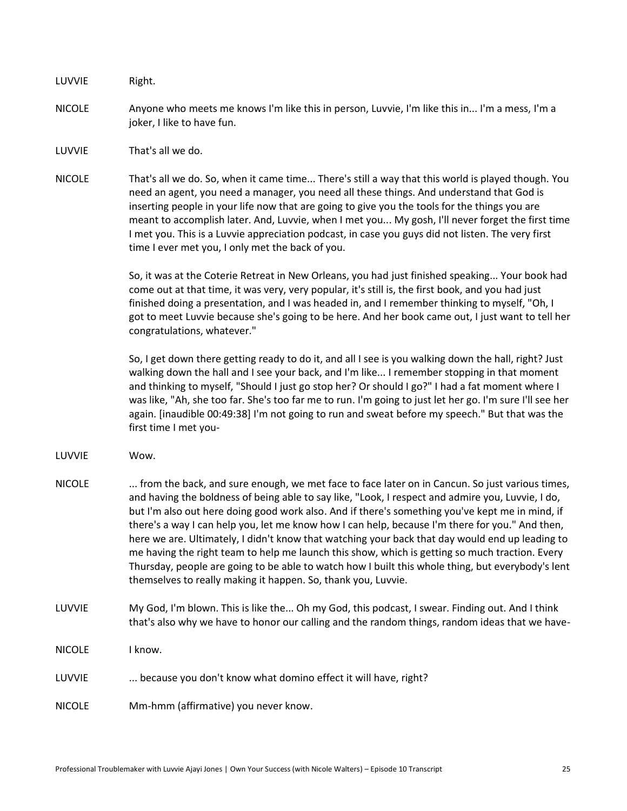LUVVIE Right.

- NICOLE Anyone who meets me knows I'm like this in person, Luvvie, I'm like this in... I'm a mess, I'm a joker, I like to have fun.
- LUVVIE That's all we do.
- NICOLE That's all we do. So, when it came time... There's still a way that this world is played though. You need an agent, you need a manager, you need all these things. And understand that God is inserting people in your life now that are going to give you the tools for the things you are meant to accomplish later. And, Luvvie, when I met you... My gosh, I'll never forget the first time I met you. This is a Luvvie appreciation podcast, in case you guys did not listen. The very first time I ever met you, I only met the back of you.

So, it was at the Coterie Retreat in New Orleans, you had just finished speaking... Your book had come out at that time, it was very, very popular, it's still is, the first book, and you had just finished doing a presentation, and I was headed in, and I remember thinking to myself, "Oh, I got to meet Luvvie because she's going to be here. And her book came out, I just want to tell her congratulations, whatever."

So, I get down there getting ready to do it, and all I see is you walking down the hall, right? Just walking down the hall and I see your back, and I'm like... I remember stopping in that moment and thinking to myself, "Should I just go stop her? Or should I go?" I had a fat moment where I was like, "Ah, she too far. She's too far me to run. I'm going to just let her go. I'm sure I'll see her again. [inaudible 00:49:38] I'm not going to run and sweat before my speech." But that was the first time I met you-

- LUVVIE Wow.
- NICOLE ... from the back, and sure enough, we met face to face later on in Cancun. So just various times, and having the boldness of being able to say like, "Look, I respect and admire you, Luvvie, I do, but I'm also out here doing good work also. And if there's something you've kept me in mind, if there's a way I can help you, let me know how I can help, because I'm there for you." And then, here we are. Ultimately, I didn't know that watching your back that day would end up leading to me having the right team to help me launch this show, which is getting so much traction. Every Thursday, people are going to be able to watch how I built this whole thing, but everybody's lent themselves to really making it happen. So, thank you, Luvvie.
- LUVVIE My God, I'm blown. This is like the... Oh my God, this podcast, I swear. Finding out. And I think that's also why we have to honor our calling and the random things, random ideas that we have-
- NICOLE I know.
- LUVVIE ... because you don't know what domino effect it will have, right?
- NICOLE Mm-hmm (affirmative) you never know.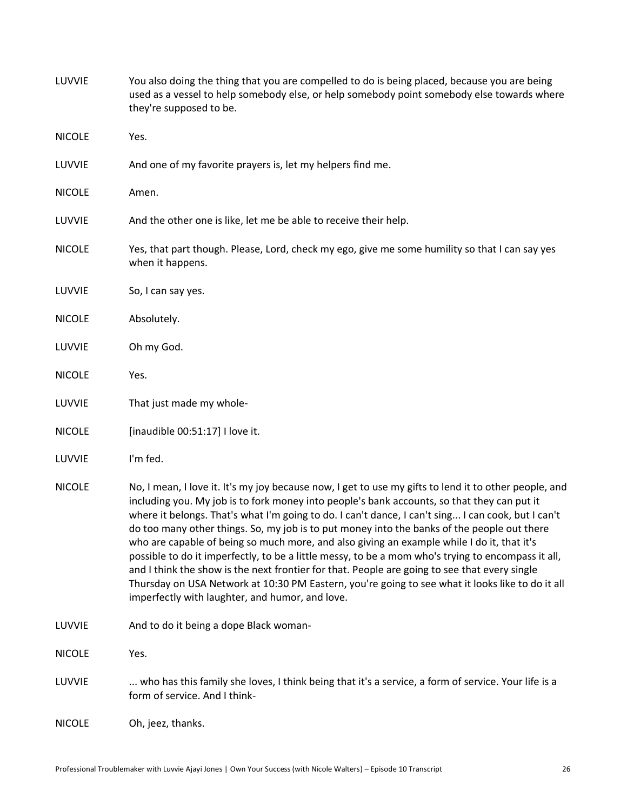| LUVVIE        | You also doing the thing that you are compelled to do is being placed, because you are being<br>used as a vessel to help somebody else, or help somebody point somebody else towards where<br>they're supposed to be.                                                                                                                                                                                                                                                                                                                                                                                                                                                                                                                                                                                                                                                 |
|---------------|-----------------------------------------------------------------------------------------------------------------------------------------------------------------------------------------------------------------------------------------------------------------------------------------------------------------------------------------------------------------------------------------------------------------------------------------------------------------------------------------------------------------------------------------------------------------------------------------------------------------------------------------------------------------------------------------------------------------------------------------------------------------------------------------------------------------------------------------------------------------------|
| <b>NICOLE</b> | Yes.                                                                                                                                                                                                                                                                                                                                                                                                                                                                                                                                                                                                                                                                                                                                                                                                                                                                  |
| LUVVIE        | And one of my favorite prayers is, let my helpers find me.                                                                                                                                                                                                                                                                                                                                                                                                                                                                                                                                                                                                                                                                                                                                                                                                            |
| <b>NICOLE</b> | Amen.                                                                                                                                                                                                                                                                                                                                                                                                                                                                                                                                                                                                                                                                                                                                                                                                                                                                 |
| LUVVIE        | And the other one is like, let me be able to receive their help.                                                                                                                                                                                                                                                                                                                                                                                                                                                                                                                                                                                                                                                                                                                                                                                                      |
| <b>NICOLE</b> | Yes, that part though. Please, Lord, check my ego, give me some humility so that I can say yes<br>when it happens.                                                                                                                                                                                                                                                                                                                                                                                                                                                                                                                                                                                                                                                                                                                                                    |
| LUVVIE        | So, I can say yes.                                                                                                                                                                                                                                                                                                                                                                                                                                                                                                                                                                                                                                                                                                                                                                                                                                                    |
| <b>NICOLE</b> | Absolutely.                                                                                                                                                                                                                                                                                                                                                                                                                                                                                                                                                                                                                                                                                                                                                                                                                                                           |
| LUVVIE        | Oh my God.                                                                                                                                                                                                                                                                                                                                                                                                                                                                                                                                                                                                                                                                                                                                                                                                                                                            |
| <b>NICOLE</b> | Yes.                                                                                                                                                                                                                                                                                                                                                                                                                                                                                                                                                                                                                                                                                                                                                                                                                                                                  |
| LUVVIE        | That just made my whole-                                                                                                                                                                                                                                                                                                                                                                                                                                                                                                                                                                                                                                                                                                                                                                                                                                              |
| <b>NICOLE</b> | [inaudible 00:51:17] I love it.                                                                                                                                                                                                                                                                                                                                                                                                                                                                                                                                                                                                                                                                                                                                                                                                                                       |
| LUVVIE        | I'm fed.                                                                                                                                                                                                                                                                                                                                                                                                                                                                                                                                                                                                                                                                                                                                                                                                                                                              |
| <b>NICOLE</b> | No, I mean, I love it. It's my joy because now, I get to use my gifts to lend it to other people, and<br>including you. My job is to fork money into people's bank accounts, so that they can put it<br>where it belongs. That's what I'm going to do. I can't dance, I can't sing I can cook, but I can't<br>do too many other things. So, my job is to put money into the banks of the people out there<br>who are capable of being so much more, and also giving an example while I do it, that it's<br>possible to do it imperfectly, to be a little messy, to be a mom who's trying to encompass it all,<br>and I think the show is the next frontier for that. People are going to see that every single<br>Thursday on USA Network at 10:30 PM Eastern, you're going to see what it looks like to do it all<br>imperfectly with laughter, and humor, and love. |
| LUVVIE        | And to do it being a dope Black woman-                                                                                                                                                                                                                                                                                                                                                                                                                                                                                                                                                                                                                                                                                                                                                                                                                                |
| <b>NICOLE</b> | Yes.                                                                                                                                                                                                                                                                                                                                                                                                                                                                                                                                                                                                                                                                                                                                                                                                                                                                  |
| LUVVIE        | who has this family she loves, I think being that it's a service, a form of service. Your life is a<br>form of service. And I think-                                                                                                                                                                                                                                                                                                                                                                                                                                                                                                                                                                                                                                                                                                                                  |
| <b>NICOLE</b> | Oh, jeez, thanks.                                                                                                                                                                                                                                                                                                                                                                                                                                                                                                                                                                                                                                                                                                                                                                                                                                                     |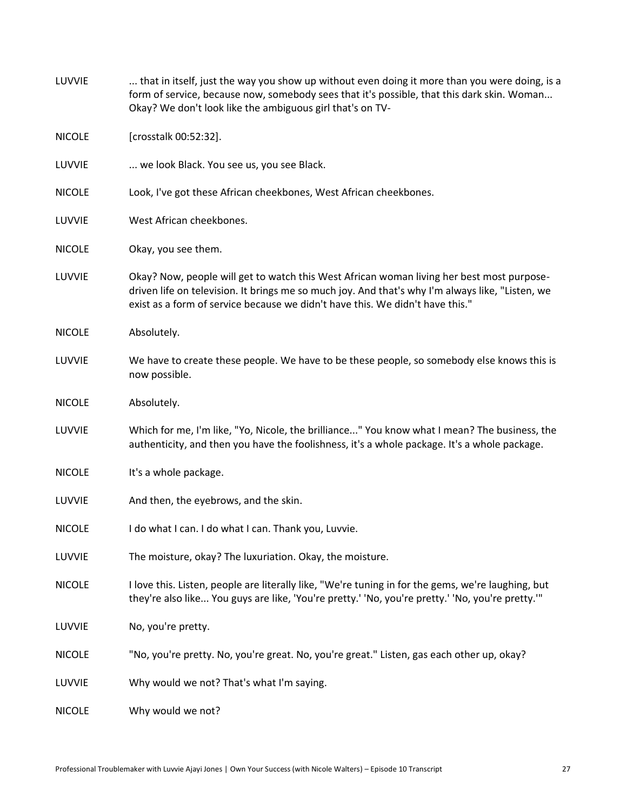| LUVVIE        | that in itself, just the way you show up without even doing it more than you were doing, is a<br>form of service, because now, somebody sees that it's possible, that this dark skin. Woman<br>Okay? We don't look like the ambiguous girl that's on TV-                       |
|---------------|--------------------------------------------------------------------------------------------------------------------------------------------------------------------------------------------------------------------------------------------------------------------------------|
| <b>NICOLE</b> | [crosstalk 00:52:32].                                                                                                                                                                                                                                                          |
| LUVVIE        | we look Black. You see us, you see Black.                                                                                                                                                                                                                                      |
| <b>NICOLE</b> | Look, I've got these African cheekbones, West African cheekbones.                                                                                                                                                                                                              |
| LUVVIE        | West African cheekbones.                                                                                                                                                                                                                                                       |
| <b>NICOLE</b> | Okay, you see them.                                                                                                                                                                                                                                                            |
| LUVVIE        | Okay? Now, people will get to watch this West African woman living her best most purpose-<br>driven life on television. It brings me so much joy. And that's why I'm always like, "Listen, we<br>exist as a form of service because we didn't have this. We didn't have this." |
| <b>NICOLE</b> | Absolutely.                                                                                                                                                                                                                                                                    |
| LUVVIE        | We have to create these people. We have to be these people, so somebody else knows this is<br>now possible.                                                                                                                                                                    |
| <b>NICOLE</b> | Absolutely.                                                                                                                                                                                                                                                                    |
| LUVVIE        | Which for me, I'm like, "Yo, Nicole, the brilliance" You know what I mean? The business, the<br>authenticity, and then you have the foolishness, it's a whole package. It's a whole package.                                                                                   |
| <b>NICOLE</b> | It's a whole package.                                                                                                                                                                                                                                                          |
| LUVVIE        | And then, the eyebrows, and the skin.                                                                                                                                                                                                                                          |
| <b>NICOLE</b> | I do what I can. I do what I can. Thank you, Luvvie.                                                                                                                                                                                                                           |
| LUVVIE        | The moisture, okay? The luxuriation. Okay, the moisture.                                                                                                                                                                                                                       |
| <b>NICOLE</b> | I love this. Listen, people are literally like, "We're tuning in for the gems, we're laughing, but<br>they're also like You guys are like, 'You're pretty.' 'No, you're pretty.' 'No, you're pretty.'"                                                                         |
| LUVVIE        | No, you're pretty.                                                                                                                                                                                                                                                             |
| <b>NICOLE</b> | "No, you're pretty. No, you're great. No, you're great." Listen, gas each other up, okay?                                                                                                                                                                                      |
| LUVVIE        | Why would we not? That's what I'm saying.                                                                                                                                                                                                                                      |
| <b>NICOLE</b> | Why would we not?                                                                                                                                                                                                                                                              |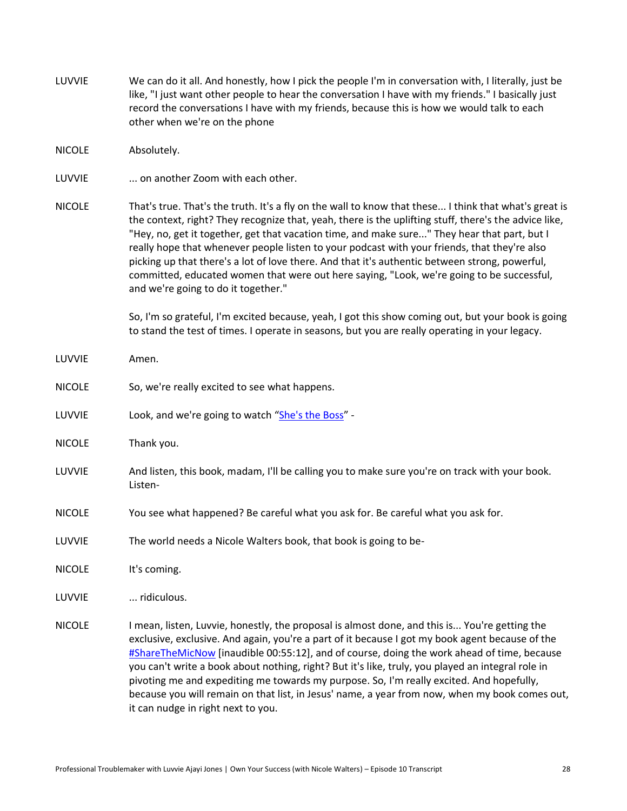- LUVVIE We can do it all. And honestly, how I pick the people I'm in conversation with, I literally, just be like, "I just want other people to hear the conversation I have with my friends." I basically just record the conversations I have with my friends, because this is how we would talk to each other when we're on the phone
- NICOLE Absolutely.
- LUVVIE ... on another Zoom with each other.
- NICOLE That's true. That's the truth. It's a fly on the wall to know that these... I think that what's great is the context, right? They recognize that, yeah, there is the uplifting stuff, there's the advice like, "Hey, no, get it together, get that vacation time, and make sure..." They hear that part, but I really hope that whenever people listen to your podcast with your friends, that they're also picking up that there's a lot of love there. And that it's authentic between strong, powerful, committed, educated women that were out here saying, "Look, we're going to be successful, and we're going to do it together."

So, I'm so grateful, I'm excited because, yeah, I got this show coming out, but your book is going to stand the test of times. I operate in seasons, but you are really operating in your legacy.

- LUVVIE Amen.
- NICOLE So, we're really excited to see what happens.
- LUVVIE Look, and we're going to watch "[She's the Boss](https://www.usanetwork.com/shes-the-boss)" -
- NICOLE Thank you.
- LUVVIE And listen, this book, madam, I'll be calling you to make sure you're on track with your book. Listen-
- NICOLE You see what happened? Be careful what you ask for. Be careful what you ask for.
- LUVVIE The world needs a Nicole Walters book, that book is going to be-
- NICOLE It's coming.
- LUVVIE ... ridiculous.
- NICOLE I mean, listen, Luvvie, honestly, the proposal is almost done, and this is... You're getting the exclusive, exclusive. And again, you're a part of it because I got my book agent because of the [#ShareTheMicNow](https://www.instagram.com/sharethemicnow/) [inaudible 00:55:12], and of course, doing the work ahead of time, because you can't write a book about nothing, right? But it's like, truly, you played an integral role in pivoting me and expediting me towards my purpose. So, I'm really excited. And hopefully, because you will remain on that list, in Jesus' name, a year from now, when my book comes out, it can nudge in right next to you.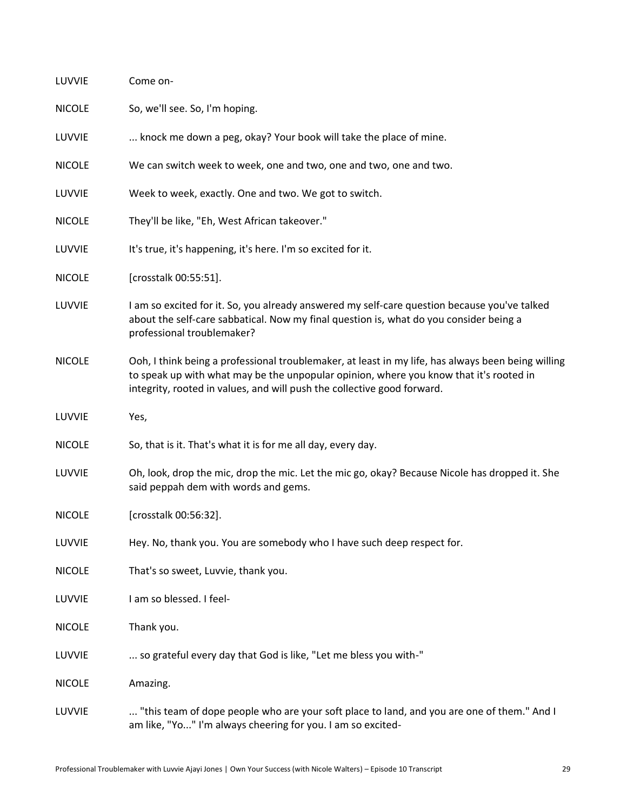| LUVVIE        | Come on-                                                                                                                                                                                                                                                                |
|---------------|-------------------------------------------------------------------------------------------------------------------------------------------------------------------------------------------------------------------------------------------------------------------------|
| <b>NICOLE</b> | So, we'll see. So, I'm hoping.                                                                                                                                                                                                                                          |
| LUVVIE        | knock me down a peg, okay? Your book will take the place of mine.                                                                                                                                                                                                       |
| <b>NICOLE</b> | We can switch week to week, one and two, one and two, one and two.                                                                                                                                                                                                      |
| LUVVIE        | Week to week, exactly. One and two. We got to switch.                                                                                                                                                                                                                   |
| <b>NICOLE</b> | They'll be like, "Eh, West African takeover."                                                                                                                                                                                                                           |
| LUVVIE        | It's true, it's happening, it's here. I'm so excited for it.                                                                                                                                                                                                            |
| <b>NICOLE</b> | [crosstalk 00:55:51].                                                                                                                                                                                                                                                   |
| LUVVIE        | I am so excited for it. So, you already answered my self-care question because you've talked<br>about the self-care sabbatical. Now my final question is, what do you consider being a<br>professional troublemaker?                                                    |
| <b>NICOLE</b> | Ooh, I think being a professional troublemaker, at least in my life, has always been being willing<br>to speak up with what may be the unpopular opinion, where you know that it's rooted in<br>integrity, rooted in values, and will push the collective good forward. |
| LUVVIE        | Yes,                                                                                                                                                                                                                                                                    |
| <b>NICOLE</b> | So, that is it. That's what it is for me all day, every day.                                                                                                                                                                                                            |
| LUVVIE        | Oh, look, drop the mic, drop the mic. Let the mic go, okay? Because Nicole has dropped it. She<br>said peppah dem with words and gems.                                                                                                                                  |
| <b>NICOLE</b> | [crosstalk 00:56:32].                                                                                                                                                                                                                                                   |
| LUVVIE        | Hey. No, thank you. You are somebody who I have such deep respect for.                                                                                                                                                                                                  |
| <b>NICOLE</b> | That's so sweet, Luvvie, thank you.                                                                                                                                                                                                                                     |
| LUVVIE        | I am so blessed. I feel-                                                                                                                                                                                                                                                |
| <b>NICOLE</b> | Thank you.                                                                                                                                                                                                                                                              |
| LUVVIE        | so grateful every day that God is like, "Let me bless you with-"                                                                                                                                                                                                        |
| <b>NICOLE</b> | Amazing.                                                                                                                                                                                                                                                                |
| LUVVIE        | "this team of dope people who are your soft place to land, and you are one of them." And I<br>am like, "Yo" I'm always cheering for you. I am so excited-                                                                                                               |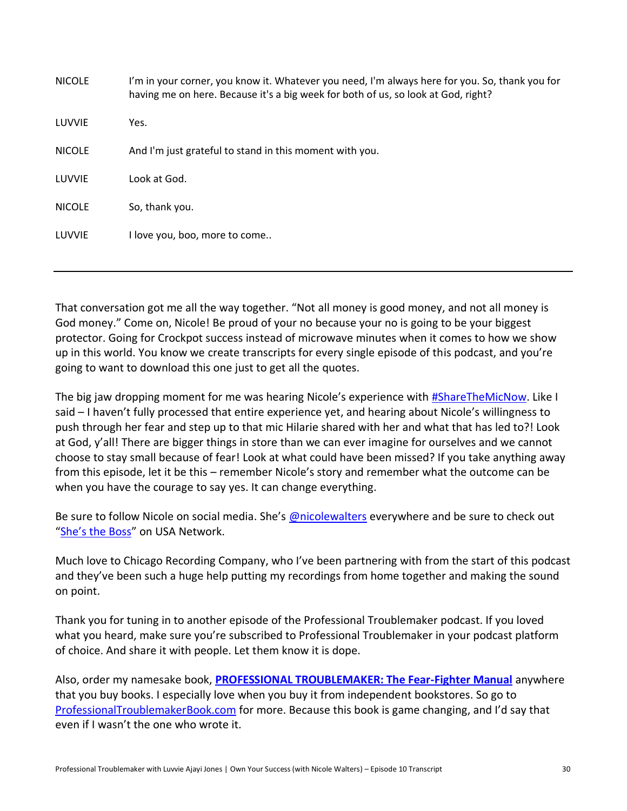| <b>NICOLE</b> | I'm in your corner, you know it. Whatever you need, I'm always here for you. So, thank you for<br>having me on here. Because it's a big week for both of us, so look at God, right? |
|---------------|-------------------------------------------------------------------------------------------------------------------------------------------------------------------------------------|
| LUVVIE        | Yes.                                                                                                                                                                                |
| <b>NICOLE</b> | And I'm just grateful to stand in this moment with you.                                                                                                                             |
| LUVVIE        | Look at God.                                                                                                                                                                        |
| <b>NICOLE</b> | So, thank you.                                                                                                                                                                      |
| LUVVIE        | I love you, boo, more to come                                                                                                                                                       |
|               |                                                                                                                                                                                     |

That conversation got me all the way together. "Not all money is good money, and not all money is God money." Come on, Nicole! Be proud of your no because your no is going to be your biggest protector. Going for Crockpot success instead of microwave minutes when it comes to how we show up in this world. You know we create transcripts for every single episode of this podcast, and you're going to want to download this one just to get all the quotes.

The big jaw dropping moment for me was hearing Nicole's experience with [#ShareTheMicNow.](https://www.instagram.com/sharethemicnow/) Like I said – I haven't fully processed that entire experience yet, and hearing about Nicole's willingness to push through her fear and step up to that mic Hilarie shared with her and what that has led to?! Look at God, y'all! There are bigger things in store than we can ever imagine for ourselves and we cannot choose to stay small because of fear! Look at what could have been missed? If you take anything away from this episode, let it be this – remember Nicole's story and remember what the outcome can be when you have the courage to say yes. It can change everything.

Be sure to follow Nicole on social media. She's **[@nicolewalters](https://www.instagram.com/nicolewalters/)** everywhere and be sure to check out ["She's the Boss"](https://www.usanetwork.com/shes-the-boss) on USA Network.

Much love to Chicago Recording Company, who I've been partnering with from the start of this podcast and they've been such a huge help putting my recordings from home together and making the sound on point.

Thank you for tuning in to another episode of the Professional Troublemaker podcast. If you loved what you heard, make sure you're subscribed to Professional Troublemaker in your podcast platform of choice. And share it with people. Let them know it is dope.

Also, order my namesake book, **[PROFESSIONAL TROUBLEMAKER: The Fear-Fighter Manual](http://professionaltroublemakerbook.com/)** anywhere that you buy books. I especially love when you buy it from independent bookstores. So go to [ProfessionalTroublemakerBook.com](http://professionaltroublemakerbook.com/) for more. Because this book is game changing, and I'd say that even if I wasn't the one who wrote it.